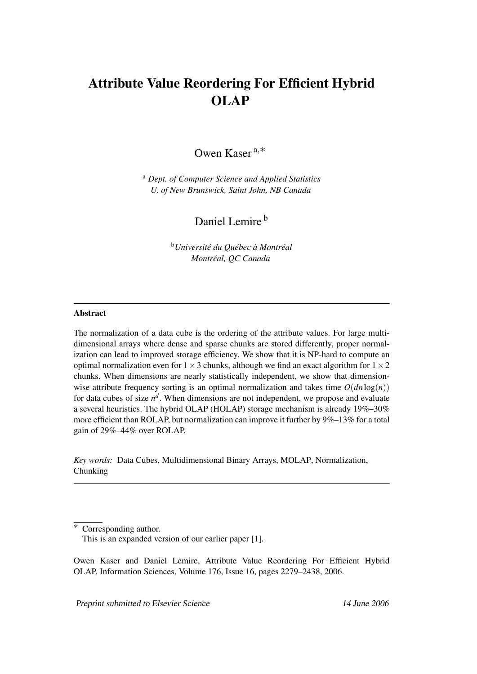# Attribute Value Reordering For Efficient Hybrid OLAP

Owen Kaser <sup>a</sup>,∗

<sup>a</sup> *Dept. of Computer Science and Applied Statistics U. of New Brunswick, Saint John, NB Canada*

Daniel Lemire<sup>b</sup>

<sup>b</sup>*Université du Québec à Montréal Montréal, QC Canada*

# Abstract

The normalization of a data cube is the ordering of the attribute values. For large multidimensional arrays where dense and sparse chunks are stored differently, proper normalization can lead to improved storage efficiency. We show that it is NP-hard to compute an optimal normalization even for  $1 \times 3$  chunks, although we find an exact algorithm for  $1 \times 2$ chunks. When dimensions are nearly statistically independent, we show that dimensionwise attribute frequency sorting is an optimal normalization and takes time  $O(dn \log(n))$ for data cubes of size  $n^d$ . When dimensions are not independent, we propose and evaluate a several heuristics. The hybrid OLAP (HOLAP) storage mechanism is already 19%–30% more efficient than ROLAP, but normalization can improve it further by 9%–13% for a total gain of 29%–44% over ROLAP.

*Key words:* Data Cubes, Multidimensional Binary Arrays, MOLAP, Normalization, Chunking

Preprint submitted to Elsevier Science 14 June 2006

Corresponding author. This is an expanded version of our earlier paper [1].

Owen Kaser and Daniel Lemire, Attribute Value Reordering For Efficient Hybrid OLAP, Information Sciences, Volume 176, Issue 16, pages 2279–2438, 2006.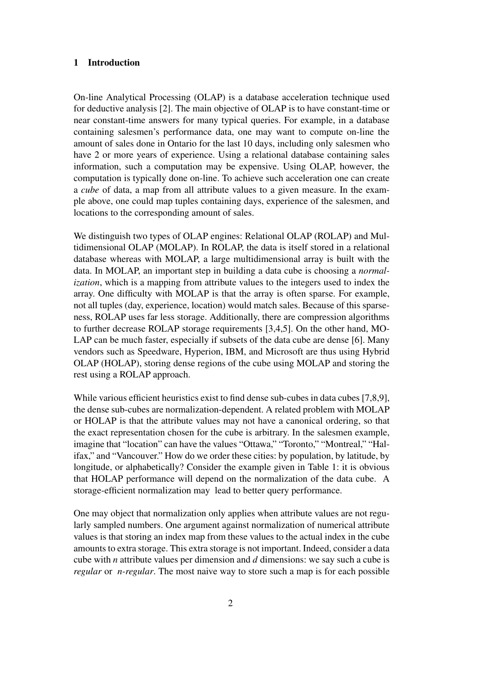#### 1 Introduction

On-line Analytical Processing (OLAP) is a database acceleration technique used for deductive analysis [2]. The main objective of OLAP is to have constant-time or near constant-time answers for many typical queries. For example, in a database containing salesmen's performance data, one may want to compute on-line the amount of sales done in Ontario for the last 10 days, including only salesmen who have 2 or more years of experience. Using a relational database containing sales information, such a computation may be expensive. Using OLAP, however, the computation is typically done on-line. To achieve such acceleration one can create a *cube* of data, a map from all attribute values to a given measure. In the example above, one could map tuples containing days, experience of the salesmen, and locations to the corresponding amount of sales.

We distinguish two types of OLAP engines: Relational OLAP (ROLAP) and Multidimensional OLAP (MOLAP). In ROLAP, the data is itself stored in a relational database whereas with MOLAP, a large multidimensional array is built with the data. In MOLAP, an important step in building a data cube is choosing a *normalization*, which is a mapping from attribute values to the integers used to index the array. One difficulty with MOLAP is that the array is often sparse. For example, not all tuples (day, experience, location) would match sales. Because of this sparseness, ROLAP uses far less storage. Additionally, there are compression algorithms to further decrease ROLAP storage requirements [3,4,5]. On the other hand, MO-LAP can be much faster, especially if subsets of the data cube are dense [6]. Many vendors such as Speedware, Hyperion, IBM, and Microsoft are thus using Hybrid OLAP (HOLAP), storing dense regions of the cube using MOLAP and storing the rest using a ROLAP approach.

While various efficient heuristics exist to find dense sub-cubes in data cubes [7,8,9], the dense sub-cubes are normalization-dependent. A related problem with MOLAP or HOLAP is that the attribute values may not have a canonical ordering, so that the exact representation chosen for the cube is arbitrary. In the salesmen example, imagine that "location" can have the values "Ottawa," "Toronto," "Montreal," "Halifax," and "Vancouver." How do we order these cities: by population, by latitude, by longitude, or alphabetically? Consider the example given in Table 1: it is obvious that HOLAP performance will depend on the normalization of the data cube. A storage-efficient normalization may lead to better query performance.

One may object that normalization only applies when attribute values are not regularly sampled numbers. One argument against normalization of numerical attribute values is that storing an index map from these values to the actual index in the cube amounts to extra storage. This extra storage is not important. Indeed, consider a data cube with *n* attribute values per dimension and *d* dimensions: we say such a cube is *regular* or *n-regular*. The most naive way to store such a map is for each possible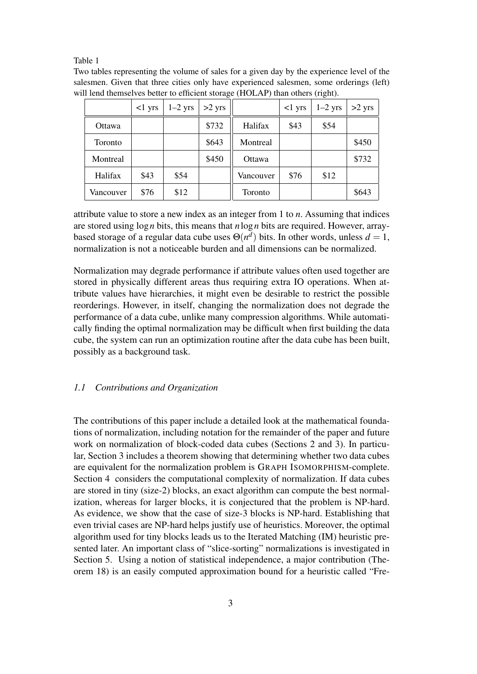#### Table 1

Two tables representing the volume of sales for a given day by the experience level of the salesmen. Given that three cities only have experienced salesmen, some orderings (left) will lend themselves better to efficient storage (HOLAP) than others (right).

|                | $<$ l yrs | $1-2$ yrs | $>2$ yrs |           | $<1$ yrs | $1-2$ yrs | $>2$ yrs |
|----------------|-----------|-----------|----------|-----------|----------|-----------|----------|
| Ottawa         |           |           | \$732    | Halifax   | \$43     | \$54      |          |
| <b>Toronto</b> |           |           | \$643    | Montreal  |          |           | \$450    |
| Montreal       |           |           | \$450    | Ottawa    |          |           | \$732    |
| Halifax        | \$43      | \$54      |          | Vancouver | \$76     | \$12      |          |
| Vancouver      | \$76      | \$12      |          | Toronto   |          |           | \$643    |

attribute value to store a new index as an integer from 1 to *n*. Assuming that indices are stored using log*n* bits, this means that *n*log*n* bits are required. However, arraybased storage of a regular data cube uses  $\Theta(n^d)$  bits. In other words, unless  $d = 1$ , normalization is not a noticeable burden and all dimensions can be normalized.

Normalization may degrade performance if attribute values often used together are stored in physically different areas thus requiring extra IO operations. When attribute values have hierarchies, it might even be desirable to restrict the possible reorderings. However, in itself, changing the normalization does not degrade the performance of a data cube, unlike many compression algorithms. While automatically finding the optimal normalization may be difficult when first building the data cube, the system can run an optimization routine after the data cube has been built, possibly as a background task.

## *1.1 Contributions and Organization*

The contributions of this paper include a detailed look at the mathematical foundations of normalization, including notation for the remainder of the paper and future work on normalization of block-coded data cubes (Sections 2 and 3). In particular, Section 3 includes a theorem showing that determining whether two data cubes are equivalent for the normalization problem is GRAPH ISOMORPHISM-complete. Section 4 considers the computational complexity of normalization. If data cubes are stored in tiny (size-2) blocks, an exact algorithm can compute the best normalization, whereas for larger blocks, it is conjectured that the problem is NP-hard. As evidence, we show that the case of size-3 blocks is NP-hard. Establishing that even trivial cases are NP-hard helps justify use of heuristics. Moreover, the optimal algorithm used for tiny blocks leads us to the Iterated Matching (IM) heuristic presented later. An important class of "slice-sorting" normalizations is investigated in Section 5. Using a notion of statistical independence, a major contribution (Theorem 18) is an easily computed approximation bound for a heuristic called "Fre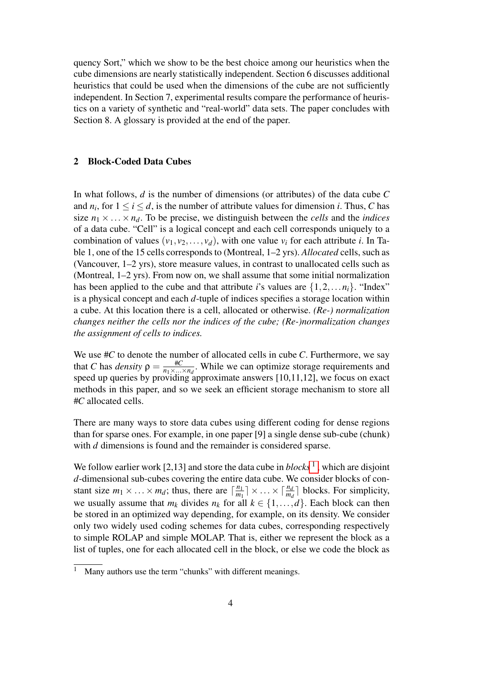quency Sort," which we show to be the best choice among our heuristics when the cube dimensions are nearly statistically independent. Section 6 discusses additional heuristics that could be used when the dimensions of the cube are not sufficiently independent. In Section 7, experimental results compare the performance of heuristics on a variety of synthetic and "real-world" data sets. The paper concludes with Section 8. A glossary is provided at the end of the paper.

# 2 Block-Coded Data Cubes

In what follows, *d* is the number of dimensions (or attributes) of the data cube *C* and  $n_i$ , for  $1 \le i \le d$ , is the number of attribute values for dimension *i*. Thus, *C* has size  $n_1 \times \ldots \times n_d$ . To be precise, we distinguish between the *cells* and the *indices* of a data cube. "Cell" is a logical concept and each cell corresponds uniquely to a combination of values  $(v_1, v_2, \ldots, v_d)$ , with one value  $v_i$  for each attribute *i*. In Table 1, one of the 15 cells corresponds to (Montreal, 1–2 yrs). *Allocated* cells, such as (Vancouver, 1–2 yrs), store measure values, in contrast to unallocated cells such as (Montreal, 1–2 yrs). From now on, we shall assume that some initial normalization has been applied to the cube and that attribute *i*'s values are  $\{1, 2, \ldots n_i\}$ . "Index" is a physical concept and each *d*-tuple of indices specifies a storage location within a cube. At this location there is a cell, allocated or otherwise. *(Re-) normalization changes neither the cells nor the indices of the cube; (Re-)normalization changes the assignment of cells to indices.*

We use #*C* to denote the number of allocated cells in cube *C*. Furthermore, we say that *C* has *density*  $\rho = \frac{\text{\#C}}{\text{\#C}}$  $\frac{\pi C}{n_1 \times ... \times n_d}$ . While we can optimize storage requirements and speed up queries by providing approximate answers [10,11,12], we focus on exact methods in this paper, and so we seek an efficient storage mechanism to store all #*C* allocated cells.

There are many ways to store data cubes using different coding for dense regions than for sparse ones. For example, in one paper [9] a single dense sub-cube (chunk) with *d* dimensions is found and the remainder is considered sparse.

We follow earlier work  $[2,13]$  and store the data cube in  $blocks<sup>1</sup>$ , which are disjoint *d*-dimensional sub-cubes covering the entire data cube. We consider blocks of constant size  $m_1 \times \ldots \times m_d$ ; thus, there are  $\lceil \frac{n_1}{m_1} \rceil$  $\lfloor \frac{n_1}{m_1} \rfloor \times \ldots \times \lceil \frac{n_d}{m_d} \rceil$  blocks. For simplicity, we usually assume that  $m_k$  divides  $n_k$  for all  $k \in \{1, ..., d\}$ . Each block can then be stored in an optimized way depending, for example, on its density. We consider only two widely used coding schemes for data cubes, corresponding respectively to simple ROLAP and simple MOLAP. That is, either we represent the block as a list of tuples, one for each allocated cell in the block, or else we code the block as

Many authors use the term "chunks" with different meanings.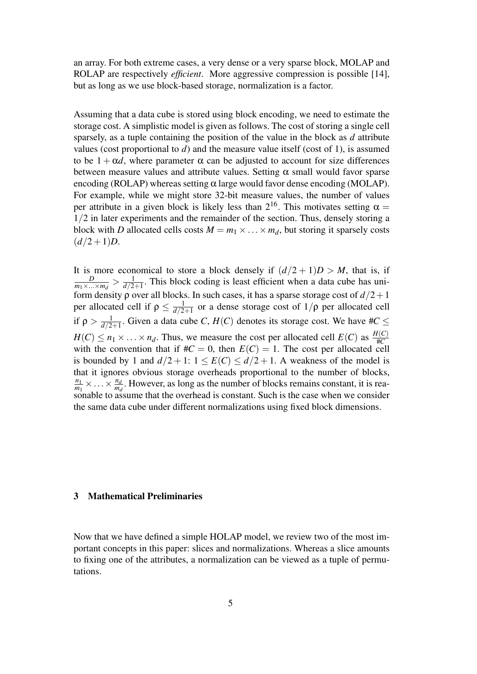an array. For both extreme cases, a very dense or a very sparse block, MOLAP and ROLAP are respectively *efficient*. More aggressive compression is possible [14], but as long as we use block-based storage, normalization is a factor.

Assuming that a data cube is stored using block encoding, we need to estimate the storage cost. A simplistic model is given as follows. The cost of storing a single cell sparsely, as a tuple containing the position of the value in the block as *d* attribute values (cost proportional to  $d$ ) and the measure value itself (cost of 1), is assumed to be  $1 + \alpha d$ , where parameter  $\alpha$  can be adjusted to account for size differences between measure values and attribute values. Setting  $\alpha$  small would favor sparse encoding (ROLAP) whereas setting  $\alpha$  large would favor dense encoding (MOLAP). For example, while we might store 32-bit measure values, the number of values per attribute in a given block is likely less than  $2^{16}$ . This motivates setting  $\alpha =$ 1/2 in later experiments and the remainder of the section. Thus, densely storing a block with *D* allocated cells costs  $M = m_1 \times \ldots \times m_d$ , but storing it sparsely costs  $(d/2+1)D$ .

It is more economical to store a block densely if  $(d/2 + 1)D > M$ , that is, if *D*  $\frac{D}{m_1 \times ... \times m_d} > \frac{1}{d/2}$  $\frac{1}{d/2+1}$ . This block coding is least efficient when a data cube has uniform density  $\rho$  over all blocks. In such cases, it has a sparse storage cost of  $d/2+1$ per allocated cell if  $\rho \leq \frac{1}{d/2}$  $\frac{1}{d/2+1}$  or a dense storage cost of  $1/\rho$  per allocated cell if  $\rho > \frac{1}{d/2}$  $\frac{1}{d/2+1}$ . Given a data cube *C*, *H*(*C*) denotes its storage cost. We have #*C*  $\le$  $H(C) \le n_1 \times \ldots \times n_d$ . Thus, we measure the cost per allocated cell  $E(C)$  as  $\frac{H(C)}{\#C}$ #*C* with the convention that if  $\#C = 0$ , then  $E(C) = 1$ . The cost per allocated cell is bounded by 1 and  $d/2 + 1$ :  $1 \le E(C) \le d/2 + 1$ . A weakness of the model is that it ignores obvious storage overheads proportional to the number of blocks, *n*1  $\frac{n_1}{m_1} \times \ldots \times \frac{n_d}{m_d}$  $\frac{n_d}{m_d}$ . However, as long as the number of blocks remains constant, it is reasonable to assume that the overhead is constant. Such is the case when we consider the same data cube under different normalizations using fixed block dimensions.

## 3 Mathematical Preliminaries

Now that we have defined a simple HOLAP model, we review two of the most important concepts in this paper: slices and normalizations. Whereas a slice amounts to fixing one of the attributes, a normalization can be viewed as a tuple of permutations.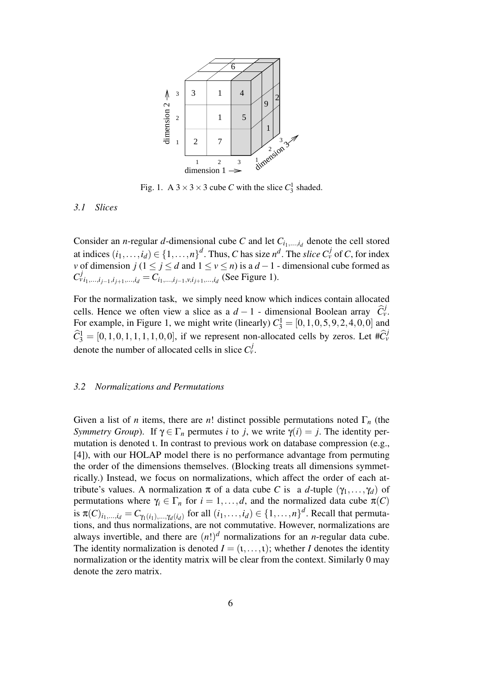

Fig. 1. A  $3 \times 3 \times 3$  cube *C* with the slice  $C_3^1$  shaded.

# *3.1 Slices*

Consider an *n*-regular *d*-dimensional cube *C* and let  $C_{i_1,\ldots,i_d}$  denote the cell stored at indices  $(i_1, \ldots, i_d) \in \{1, \ldots, n\}^d$ . Thus, *C* has size  $n^d$ . The *slice*  $C_v^j$  of *C*, for index *v* of dimension *j* ( $1 \le j \le d$  and  $1 \le v \le n$ ) is a *d* − 1 - dimensional cube formed as  $C^j_{v_i_1,...,i_{j-1},i_{j+1},...,i_d} = C^j_{i_1,...,i_{j-1},v,i_{j+1},...,i_d}$  (See Figure 1).

For the normalization task, we simply need know which indices contain allocated cells. Hence we often view a slice as a *d* − 1 - dimensional Boolean array  $\hat{C}^j_{\nu}$ . For example, in Figure 1, we might write (linearly)  $C_3^1 = [0, 1, 0, 5, 9, 2, 4, 0, 0]$  and  $\widehat{C}_3^1 = [0, 1, 0, 1, 1, 1, 1, 0, 0]$ , if we represent non-allocated cells by zeros. Let  $\#\widehat{C}_v^j$ denote the number of allocated cells in slice  $C_v^j$ .

#### *3.2 Normalizations and Permutations*

Given a list of *n* items, there are *n*! distinct possible permutations noted  $\Gamma_n$  (the *Symmetry Group*). If  $\gamma \in \Gamma_n$  permutes *i* to *j*, we write  $\gamma(i) = j$ . The identity permutation is denoted ι. In contrast to previous work on database compression (e.g., [4]), with our HOLAP model there is no performance advantage from permuting the order of the dimensions themselves. (Blocking treats all dimensions symmetrically.) Instead, we focus on normalizations, which affect the order of each attribute's values. A normalization  $\pi$  of a data cube *C* is a *d*-tuple  $(\gamma_1, \ldots, \gamma_d)$  of permutations where  $\gamma_i \in \Gamma_n$  for  $i = 1, \ldots, d$ , and the normalized data cube  $\pi(C)$ is  $\pi(C)_{i_1,...,i_d} = C_{\gamma_1(i_1),...,\gamma_d(i_d)}$  for all  $(i_1,...,i_d) \in \{1,...,n\}^d$ . Recall that permutations, and thus normalizations, are not commutative. However, normalizations are always invertible, and there are  $(n!)^d$  normalizations for an *n*-regular data cube. The identity normalization is denoted  $I = (1, \ldots, 1)$ ; whether *I* denotes the identity normalization or the identity matrix will be clear from the context. Similarly 0 may denote the zero matrix.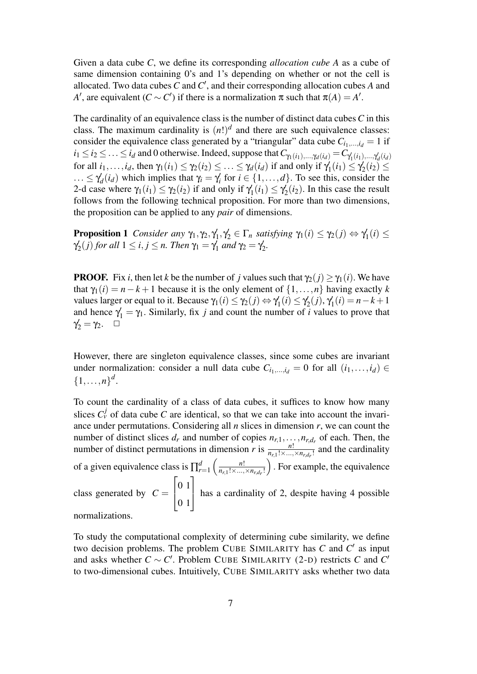Given a data cube *C*, we define its corresponding *allocation cube A* as a cube of same dimension containing 0's and 1's depending on whether or not the cell is allocated. Two data cubes  $C$  and  $C'$ , and their corresponding allocation cubes  $A$  and *A*<sup> $\prime$ </sup>, are equivalent (*C* ~ *C*<sup> $\prime$ </sup>) if there is a normalization  $\pi$  such that  $\pi(A) = A'$ .

The cardinality of an equivalence class is the number of distinct data cubes*C* in this class. The maximum cardinality is  $(n!)^d$  and there are such equivalence classes: consider the equivalence class generated by a "triangular" data cube  $C_{i_1,\dots,i_d} = 1$  if  $i_1 \leq i_2 \leq \ldots \leq i_d$  and 0 otherwise. Indeed, suppose that  $C_{\gamma_1(i_1),...,\gamma_d(i_d)} = C_{\gamma'_1(i_1),...,\gamma'_d(i_d)}$ for all  $i_1, \ldots, i_d$ , then  $\gamma_1(i_1) \leq \gamma_2(i_2) \leq \ldots \leq \gamma_d(i_d)$  if and only if  $\gamma$  $\gamma_1'(i_1) \leq \gamma_2'$  $v'_2(i_2) \leq$  $\ldots \leq \gamma'_c$  $\notag d(i_d)$  which implies that  $\gamma_i = \gamma'_i$  for  $i \in \{1, ..., d\}$ . To see this, consider the 2-d case where  $\gamma_1(i_1) \leq \gamma_2(i_2)$  if and only if  $\gamma_1$  $\gamma_1'(i_1) \leq \gamma_2'$  $\mathcal{L}_2(i_2)$ . In this case the result follows from the following technical proposition. For more than two dimensions, the proposition can be applied to any *pair* of dimensions.

**Proposition 1** *Consider any*  $\gamma_1, \gamma_2, \gamma_1'$  $\gamma_1', \gamma_2' \in \Gamma_n$  *satisfying*  $\gamma_1(i) \leq \gamma_2(j) \Leftrightarrow \gamma_1'$  $\frac{1}{i}(i) \leq$  $\gamma_2'$  $\mathcal{Z}_2(j)$  for all  $1 \leq i, j \leq n$ . Then  $\gamma_1 = \gamma_1$  $\int_1$  and  $\gamma_2 = \gamma_2$ 2 *.*

**PROOF.** Fix *i*, then let *k* be the number of *j* values such that  $\gamma_2(i) > \gamma_1(i)$ . We have that  $\gamma_1(i) = n - k + 1$  because it is the only element of  $\{1, \ldots, n\}$  having exactly *k* values larger or equal to it. Because  $\gamma_1(i) \leq \gamma_2(j) \Leftrightarrow \gamma_1'$  $\gamma_1'(i) \leq \gamma_2'$  $\zeta_2(j), \gamma_1'$  $Y_1(i) = n - k + 1$ and hence  $\gamma_1 = \gamma_1$ . Similarly, fix *j* and count the number of *i* values to prove that  $\gamma'_2 = \gamma_2$ .  $\Box$ 

However, there are singleton equivalence classes, since some cubes are invariant under normalization: consider a null data cube  $C_{i_1,\dots,i_d} = 0$  for all  $(i_1,\dots,i_d) \in$  $\{1, \ldots, n\}^d$ .

To count the cardinality of a class of data cubes, it suffices to know how many slices  $C_v^j$  of data cube C are identical, so that we can take into account the invariance under permutations. Considering all *n* slices in dimension *r*, we can count the number of distinct slices  $d_r$  and number of copies  $n_{r,1}, \ldots, n_{r,d_r}$  of each. Then, the number of distinct permutations in dimension *r* is  $\frac{n!}{n_{r,1}! \times ... \times n_{r,d_r}!}$  and the cardinality of a given equivalence class is  $\prod_{r=1}^{d} \left( \frac{n!}{n_{r,1}! \times ...} \right)$  $\overline{n_{r,1}! \times ... \times n_{r,d_r}!}$  . For example, the equivalence class generated by  $C =$  $\sqrt{ }$  $\overline{\phantom{a}}$ 0 1 0 1 1 has a cardinality of 2, despite having 4 possible

normalizations.

To study the computational complexity of determining cube similarity, we define two decision problems. The problem CUBE SIMILARITY has  $C$  and  $C'$  as input and asks whether  $C \sim C'$ . Problem CUBE SIMILARITY (2-D) restricts *C* and  $C'$ to two-dimensional cubes. Intuitively, CUBE SIMILARITY asks whether two data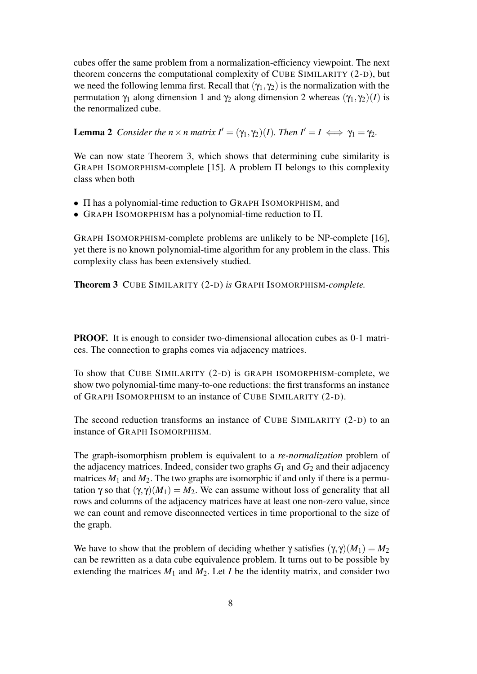cubes offer the same problem from a normalization-efficiency viewpoint. The next theorem concerns the computational complexity of CUBE SIMILARITY (2-D), but we need the following lemma first. Recall that  $(\gamma_1, \gamma_2)$  is the normalization with the permutation  $γ_1$  along dimension 1 and  $γ_2$  along dimension 2 whereas  $(γ_1, γ_2)(I)$  is the renormalized cube.

**Lemma 2** *Consider the n* × *n* matrix  $I' = (\gamma_1, \gamma_2)(I)$ *. Then*  $I' = I \iff \gamma_1 = \gamma_2$ *.* 

We can now state Theorem 3, which shows that determining cube similarity is GRAPH ISOMORPHISM-complete [15]. A problem  $\Pi$  belongs to this complexity class when both

- Π has a polynomial-time reduction to GRAPH ISOMORPHISM, and
- GRAPH ISOMORPHISM has a polynomial-time reduction to Π.

GRAPH ISOMORPHISM-complete problems are unlikely to be NP-complete [16], yet there is no known polynomial-time algorithm for any problem in the class. This complexity class has been extensively studied.

Theorem 3 CUBE SIMILARITY (2-D) *is* GRAPH ISOMORPHISM*-complete.*

PROOF. It is enough to consider two-dimensional allocation cubes as 0-1 matrices. The connection to graphs comes via adjacency matrices.

To show that CUBE SIMILARITY (2-D) is GRAPH ISOMORPHISM-complete, we show two polynomial-time many-to-one reductions: the first transforms an instance of GRAPH ISOMORPHISM to an instance of CUBE SIMILARITY (2-D).

The second reduction transforms an instance of CUBE SIMILARITY (2-D) to an instance of GRAPH ISOMORPHISM.

The graph-isomorphism problem is equivalent to a *re-normalization* problem of the adjacency matrices. Indeed, consider two graphs  $G_1$  and  $G_2$  and their adjacency matrices  $M_1$  and  $M_2$ . The two graphs are isomorphic if and only if there is a permutation  $\gamma$  so that  $(\gamma, \gamma)(M_1) = M_2$ . We can assume without loss of generality that all rows and columns of the adjacency matrices have at least one non-zero value, since we can count and remove disconnected vertices in time proportional to the size of the graph.

We have to show that the problem of deciding whether  $\gamma$  satisfies  $(\gamma, \gamma)(M_1) = M_2$ can be rewritten as a data cube equivalence problem. It turns out to be possible by extending the matrices  $M_1$  and  $M_2$ . Let *I* be the identity matrix, and consider two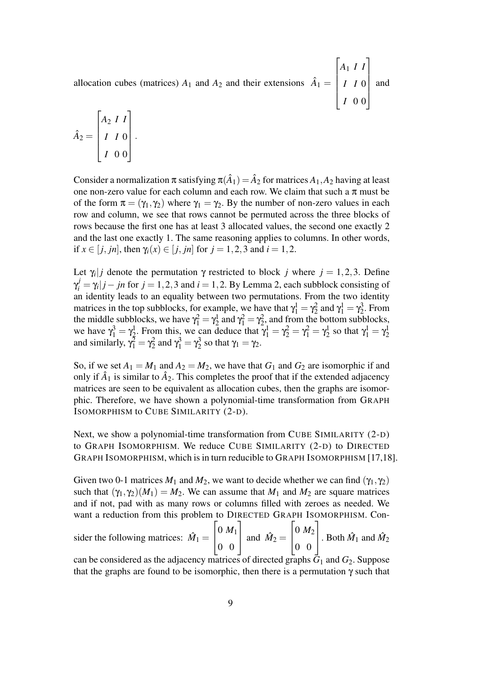allocation cubes (matrices)  $A_1$  and  $A_2$  and their extensions  $\hat{A}_1 =$  $\sqrt{ }$  $\begin{array}{c} \hline \end{array}$ *A*<sup>1</sup> *I I I I* 0 *I* 0 0 1  $\cdot$ and

$$
\hat{A}_2 = \begin{bmatrix} A_2 & I & I \\ I & I & 0 \\ I & 0 & 0 \end{bmatrix}.
$$

Consider a normalization  $\pi$  satisfying  $\pi(\hat{A}_1) = \hat{A}_2$  for matrices  $A_1, A_2$  having at least one non-zero value for each column and each row. We claim that such a  $\pi$  must be of the form  $\pi = (\gamma_1, \gamma_2)$  where  $\gamma_1 = \gamma_2$ . By the number of non-zero values in each row and column, we see that rows cannot be permuted across the three blocks of rows because the first one has at least 3 allocated values, the second one exactly 2 and the last one exactly 1. The same reasoning applies to columns. In other words, if  $x \in [i, jn]$ , then  $\gamma_i(x) \in [j, jn]$  for  $j = 1, 2, 3$  and  $i = 1, 2$ .

Let  $\gamma_i | j$  denote the permutation  $\gamma$  restricted to block *j* where  $j = 1, 2, 3$ . Define  $\gamma_i^j = \gamma_i | j - jn$  for  $j = 1, 2, 3$  and  $i = 1, 2$ . By Lemma 2, each subblock consisting of an identity leads to an equality between two permutations. From the two identity matrices in the top subblocks, for example, we have that  $\gamma_1^1 = \gamma_2^2$  and  $\gamma_1^1 = \gamma_2^3$  $2^3$ . From the middle subblocks, we have  $\gamma_1^2 = \gamma_2^1$  and  $\gamma_1^2 = \gamma_2^2$ , and from the bottom subblocks, we have  $\gamma_1^3 = \gamma_2^1$ . From this, we can deduce that  $\gamma_1^1 = \gamma_2^2 = \gamma_1^2 = \gamma_2^1$  so that  $\gamma_1^1 = \gamma_2^1$ and similarly,  $\gamma_1^2 = \gamma_2^2$  and  $\gamma_1^3 = \gamma_2^3$  $\frac{3}{2}$  so that  $\gamma_1 = \gamma_2$ .

So, if we set  $A_1 = M_1$  and  $A_2 = M_2$ , we have that  $G_1$  and  $G_2$  are isomorphic if and only if  $\hat{A}_1$  is similar to  $\hat{A}_2$ . This completes the proof that if the extended adjacency matrices are seen to be equivalent as allocation cubes, then the graphs are isomorphic. Therefore, we have shown a polynomial-time transformation from GRAPH ISOMORPHISM to CUBE SIMILARITY (2-D).

Next, we show a polynomial-time transformation from CUBE SIMILARITY (2-D) to GRAPH ISOMORPHISM. We reduce CUBE SIMILARITY (2-D) to DIRECTED GRAPH ISOMORPHISM, which is in turn reducible to GRAPH ISOMORPHISM [17,18].

Given two 0-1 matrices  $M_1$  and  $M_2$ , we want to decide whether we can find  $(\gamma_1, \gamma_2)$ such that  $(\gamma_1, \gamma_2)(M_1) = M_2$ . We can assume that  $M_1$  and  $M_2$  are square matrices and if not, pad with as many rows or columns filled with zeroes as needed. We want a reduction from this problem to DIRECTED GRAPH ISOMORPHISM. Con-

sider the following matrices:  $\hat{M}_1 =$  $\sqrt{ }$  $\overline{\phantom{a}}$ 0 *M*<sup>1</sup> 0 0 1 and  $\hat{M}_2 =$  $\sqrt{ }$  $\overline{\phantom{a}}$ 0 *M*<sup>2</sup> 0 0 1  $\left| \right.$  Both  $\hat{M}_1$  and  $\hat{M}_2$ 

can be considered as the adjacency matrices of directed graphs  $\bar{G}_1$  and  $G_2$ . Suppose that the graphs are found to be isomorphic, then there is a permutation  $\gamma$  such that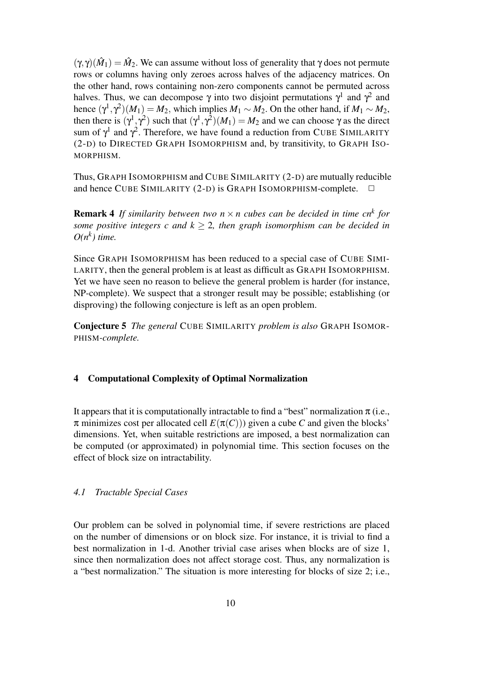$(\gamma, \gamma)(\hat{M}_1) = \hat{M}_2$ . We can assume without loss of generality that  $\gamma$  does not permute rows or columns having only zeroes across halves of the adjacency matrices. On the other hand, rows containing non-zero components cannot be permuted across halves. Thus, we can decompose  $\gamma$  into two disjoint permutations  $\gamma^1$  and  $\gamma^2$  and hence  $(\gamma^1, \gamma^2)(M_1) = M_2$ , which implies  $M_1 \sim M_2$ . On the other hand, if  $M_1 \sim M_2$ , then there is  $(\gamma^1, \gamma^2)$  such that  $(\gamma^1, \gamma^2)(M_1) = M_2$  and we can choose  $\gamma$  as the direct sum of  $\gamma^1$  and  $\gamma^2$ . Therefore, we have found a reduction from CUBE SIMILARITY (2-D) to DIRECTED GRAPH ISOMORPHISM and, by transitivity, to GRAPH ISO-MORPHISM.

Thus, GRAPH ISOMORPHISM and CUBE SIMILARITY (2-D) are mutually reducible and hence CUBE SIMILARITY  $(2-D)$  is GRAPH ISOMORPHISM-complete.  $\Box$ 

**Remark 4** If similarity between two  $n \times n$  cubes can be decided in time cn<sup>k</sup> for *some positive integers c and*  $k > 2$ *, then graph isomorphism can be decided in*  $O(n^k)$  time.

Since GRAPH ISOMORPHISM has been reduced to a special case of CUBE SIMI-LARITY, then the general problem is at least as difficult as GRAPH ISOMORPHISM. Yet we have seen no reason to believe the general problem is harder (for instance, NP-complete). We suspect that a stronger result may be possible; establishing (or disproving) the following conjecture is left as an open problem.

Conjecture 5 *The general* CUBE SIMILARITY *problem is also* GRAPH ISOMOR-PHISM*-complete.*

# 4 Computational Complexity of Optimal Normalization

It appears that it is computationally intractable to find a "best" normalization  $\pi$  (i.e.,  $\pi$  minimizes cost per allocated cell  $E(\pi(C))$  given a cube *C* and given the blocks' dimensions. Yet, when suitable restrictions are imposed, a best normalization can be computed (or approximated) in polynomial time. This section focuses on the effect of block size on intractability.

#### *4.1 Tractable Special Cases*

Our problem can be solved in polynomial time, if severe restrictions are placed on the number of dimensions or on block size. For instance, it is trivial to find a best normalization in 1-d. Another trivial case arises when blocks are of size 1, since then normalization does not affect storage cost. Thus, any normalization is a "best normalization." The situation is more interesting for blocks of size 2; i.e.,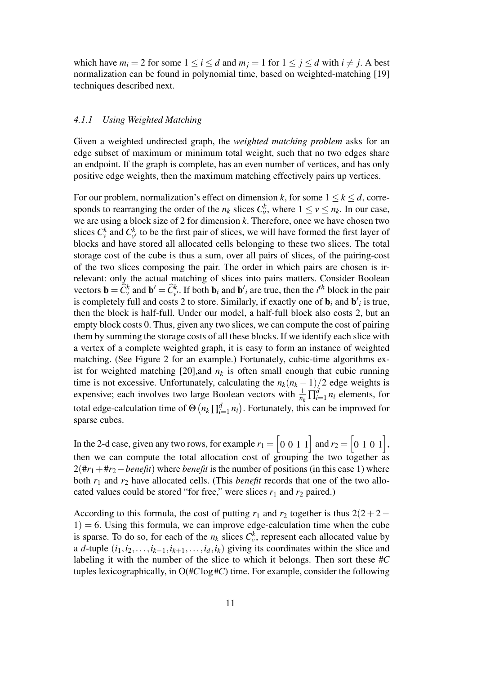which have  $m_i = 2$  for some  $1 \le i \le d$  and  $m_j = 1$  for  $1 \le j \le d$  with  $i \ne j$ . A best normalization can be found in polynomial time, based on weighted-matching [19] techniques described next.

# *4.1.1 Using Weighted Matching*

Given a weighted undirected graph, the *weighted matching problem* asks for an edge subset of maximum or minimum total weight, such that no two edges share an endpoint. If the graph is complete, has an even number of vertices, and has only positive edge weights, then the maximum matching effectively pairs up vertices.

For our problem, normalization's effect on dimension *k*, for some  $1 \le k \le d$ , corresponds to rearranging the order of the  $n_k$  slices  $C_v^k$ , where  $1 \le v \le n_k$ . In our case, we are using a block size of 2 for dimension *k*. Therefore, once we have chosen two slices  $C_v^k$  and  $C_v^k$  $\psi$ <sup>t</sup> to be the first pair of slices, we will have formed the first layer of blocks and have stored all allocated cells belonging to these two slices. The total storage cost of the cube is thus a sum, over all pairs of slices, of the pairing-cost of the two slices composing the pair. The order in which pairs are chosen is irrelevant: only the actual matching of slices into pairs matters. Consider Boolean vectors  $\mathbf{b} = \widehat{C}_{v}^{k}$  and  $\mathbf{b}' = \widehat{C}_{v'}^{k}$ . If both  $\mathbf{b}_i$  and  $\mathbf{b}'_i$  are true, then the *i*<sup>th</sup> block in the pair is completely full and costs 2 to store. Similarly, if exactly one of  $\mathbf{b}_i$  and  $\mathbf{b'}_i$  is true, then the block is half-full. Under our model, a half-full block also costs 2, but an empty block costs 0. Thus, given any two slices, we can compute the cost of pairing them by summing the storage costs of all these blocks. If we identify each slice with a vertex of a complete weighted graph, it is easy to form an instance of weighted matching. (See Figure 2 for an example.) Fortunately, cubic-time algorithms exist for weighted matching [20], and  $n_k$  is often small enough that cubic running time is not excessive. Unfortunately, calculating the  $n_k(n_k - 1)/2$  edge weights is expensive; each involves two large Boolean vectors with  $\frac{1}{n_k} \prod_{i=1}^d n_i$  elements, for total edge-calculation time of  $\Theta\left(n_k \prod_{i=1}^d n_i\right)$ . Fortunately, this can be improved for sparse cubes.

In the 2-d case, given any two rows, for example  $r_1 = \begin{bmatrix} 0 & 0 & 1 & 1 \end{bmatrix}$  and  $r_2 = \begin{bmatrix} 0 & 1 & 0 & 1 \end{bmatrix}$ , then we can compute the total allocation cost of grouping the two together as 2(#*r*1+#*r*2−*benefit*) where *benefit* is the number of positions (in this case 1) where both *r*<sup>1</sup> and *r*<sup>2</sup> have allocated cells. (This *benefit* records that one of the two allocated values could be stored "for free," were slices  $r_1$  and  $r_2$  paired.)

According to this formula, the cost of putting  $r_1$  and  $r_2$  together is thus  $2(2+2 1$ ) = 6. Using this formula, we can improve edge-calculation time when the cube is sparse. To do so, for each of the  $n_k$  slices  $C_v^k$ , represent each allocated value by a *d*-tuple  $(i_1, i_2, \ldots, i_{k-1}, i_{k+1}, \ldots, i_d, i_k)$  giving its coordinates within the slice and labeling it with the number of the slice to which it belongs. Then sort these #*C* tuples lexicographically, in O(#*C*log #*C*) time. For example, consider the following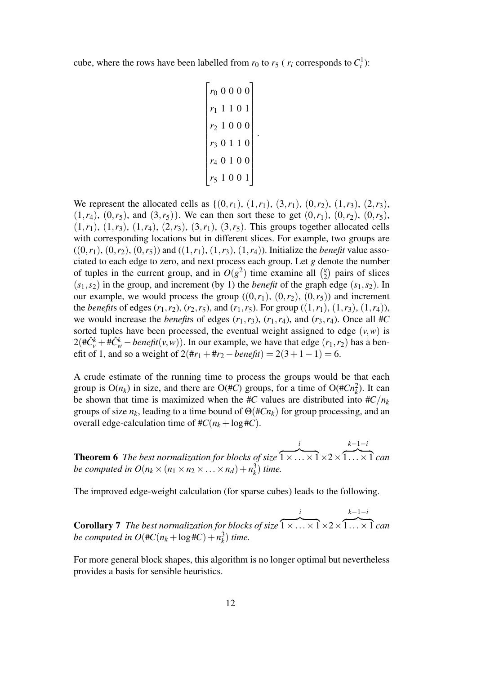cube, where the rows have been labelled from  $r_0$  to  $r_5$  ( $r_i$  corresponds to  $C_i^1$ ):

$$
\begin{bmatrix}\nr_0 & 0 & 0 & 0 & 0 \\
r_1 & 1 & 1 & 0 & 1 \\
r_2 & 1 & 0 & 0 & 0 \\
r_3 & 0 & 1 & 1 & 0 \\
r_4 & 0 & 1 & 0 & 0 \\
r_5 & 1 & 0 & 0 & 1\n\end{bmatrix}
$$

.

We represent the allocated cells as  $\{(0,r_1), (1,r_1), (3,r_1), (0,r_2), (1,r_3), (2,r_3),\}$  $(1,r_4)$ ,  $(0,r_5)$ , and  $(3,r_5)$ }. We can then sort these to get  $(0,r_1)$ ,  $(0,r_2)$ ,  $(0,r_5)$ ,  $(1, r_1)$ ,  $(1, r_3)$ ,  $(1, r_4)$ ,  $(2, r_3)$ ,  $(3, r_1)$ ,  $(3, r_5)$ . This groups together allocated cells with corresponding locations but in different slices. For example, two groups are  $((0,r_1), (0,r_2), (0,r_5))$  and  $((1,r_1), (1,r_3), (1,r_4))$ . Initialize the *benefit* value associated to each edge to zero, and next process each group. Let *g* denote the number of tuples in the current group, and in  $O(g^2)$  time examine all  $\binom{g}{2}$  $\binom{g}{2}$  pairs of slices  $(s_1, s_2)$  in the group, and increment (by 1) the *benefit* of the graph edge  $(s_1, s_2)$ . In our example, we would process the group  $((0,r_1), (0,r_2), (0,r_5))$  and increment the *benefits* of edges  $(r_1, r_2)$ ,  $(r_2, r_5)$ , and  $(r_1, r_5)$ . For group  $((1, r_1), (1, r_3), (1, r_4))$ , we would increase the *benefits* of edges  $(r_1, r_3)$ ,  $(r_1, r_4)$ , and  $(r_3, r_4)$ . Once all #*C* sorted tuples have been processed, the eventual weight assigned to edge  $(v, w)$  is  $2(\text{\#C}^k_{\text{v}} + \text{\#C}^k_{\text{w}} - \text{beneft}(v, w))$ . In our example, we have that edge  $(r_1, r_2)$  has a benefit of 1, and so a weight of  $2(\text{#}r_1 + \text{#}r_2 - \text{benefit}) = 2(3 + 1 - 1) = 6$ .

A crude estimate of the running time to process the groups would be that each group is  $O(n_k)$  in size, and there are  $O(\#C)$  groups, for a time of  $O(\#Cn_k^2)$ . It can be shown that time is maximized when the #*C* values are distributed into  $\#C/n_k$ groups of size *nk*, leading to a time bound of Θ(#*Cnk*) for group processing, and an overall edge-calculation time of  $\#C(n_k + \log \#C)$ .

Theorem 6 *The best normalization for blocks of size i*  $\overline{1 \times ... \times 1} \times 2 \times$ *k*−1−*i*  $\overline{1...}\times\overline{1}$  *can be computed in*  $O(n_k \times (n_1 \times n_2 \times ... \times n_d) + n_k^3)$  $\binom{3}{k}$  *time.* 

The improved edge-weight calculation (for sparse cubes) leads to the following.

Corollary 7 *The best normalization for blocks of size i*  $\overline{1 \times ... \times 1} \times 2 \times$ *k*−1−*i*  $\overline{1...}\times\overline{1}$  *can be computed in*  $O(\#C(n_k + \log \#C) + n_k^3)$  $\binom{3}{k}$  *time.* 

For more general block shapes, this algorithm is no longer optimal but nevertheless provides a basis for sensible heuristics.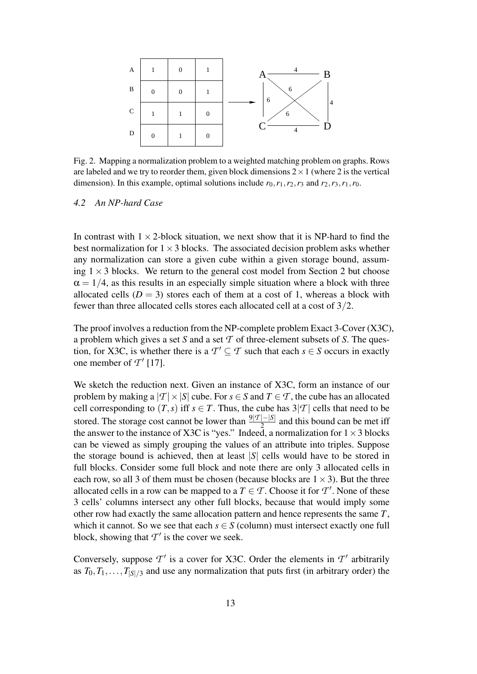

Fig. 2. Mapping a normalization problem to a weighted matching problem on graphs. Rows are labeled and we try to reorder them, given block dimensions  $2 \times 1$  (where 2 is the vertical dimension). In this example, optimal solutions include  $r_0, r_1, r_2, r_3$  and  $r_2, r_3, r_1, r_0$ .

## *4.2 An NP-hard Case*

In contrast with  $1 \times 2$ -block situation, we next show that it is NP-hard to find the best normalization for  $1 \times 3$  blocks. The associated decision problem asks whether any normalization can store a given cube within a given storage bound, assuming  $1 \times 3$  blocks. We return to the general cost model from Section 2 but choose  $\alpha = 1/4$ , as this results in an especially simple situation where a block with three allocated cells  $(D = 3)$  stores each of them at a cost of 1, whereas a block with fewer than three allocated cells stores each allocated cell at a cost of 3/2.

The proof involves a reduction from the NP-complete problem Exact 3-Cover (X3C), a problem which gives a set *S* and a set *T* of three-element subsets of *S*. The question, for X3C, is whether there is a  $T' \subseteq T$  such that each  $s \in S$  occurs in exactly one member of  $T'$  [17].

We sketch the reduction next. Given an instance of X3C, form an instance of our problem by making a  $|T| \times |S|$  cube. For  $s \in S$  and  $T \in T$ , the cube has an allocated cell corresponding to  $(T, s)$  iff  $s \in T$ . Thus, the cube has  $3|T|$  cells that need to be stored. The storage cost cannot be lower than  $\frac{9|T| - |S|}{2}$  and this bound can be met iff the answer to the instance of X3C is "yes." Indeed, a normalization for  $1 \times 3$  blocks can be viewed as simply grouping the values of an attribute into triples. Suppose the storage bound is achieved, then at least  $|S|$  cells would have to be stored in full blocks. Consider some full block and note there are only 3 allocated cells in each row, so all 3 of them must be chosen (because blocks are  $1 \times 3$ ). But the three allocated cells in a row can be mapped to a  $T \in \mathcal{T}$ . Choose it for  $\mathcal{T}'$ . None of these 3 cells' columns intersect any other full blocks, because that would imply some other row had exactly the same allocation pattern and hence represents the same *T*, which it cannot. So we see that each  $s \in S$  (column) must intersect exactly one full block, showing that  $T'$  is the cover we seek.

Conversely, suppose  $T'$  is a cover for X3C. Order the elements in  $T'$  arbitrarily as  $T_0, T_1, \ldots, T_{|S|/3}$  and use any normalization that puts first (in arbitrary order) the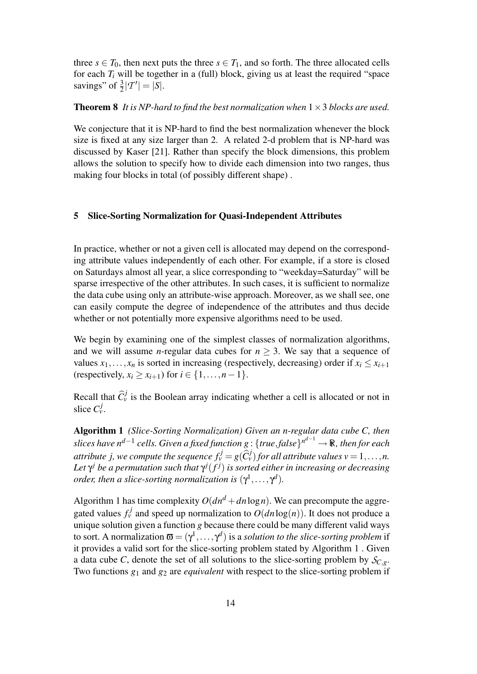three  $s \in T_0$ , then next puts the three  $s \in T_1$ , and so forth. The three allocated cells for each  $T_i$  will be together in a (full) block, giving us at least the required "space savings" of  $\frac{3}{2} |T'| = |S|$ .

## **Theorem 8** *It is NP-hard to find the best normalization when*  $1 \times 3$  *blocks are used.*

We conjecture that it is NP-hard to find the best normalization whenever the block size is fixed at any size larger than 2. A related 2-d problem that is NP-hard was discussed by Kaser [21]. Rather than specify the block dimensions, this problem allows the solution to specify how to divide each dimension into two ranges, thus making four blocks in total (of possibly different shape) .

# 5 Slice-Sorting Normalization for Quasi-Independent Attributes

In practice, whether or not a given cell is allocated may depend on the corresponding attribute values independently of each other. For example, if a store is closed on Saturdays almost all year, a slice corresponding to "weekday=Saturday" will be sparse irrespective of the other attributes. In such cases, it is sufficient to normalize the data cube using only an attribute-wise approach. Moreover, as we shall see, one can easily compute the degree of independence of the attributes and thus decide whether or not potentially more expensive algorithms need to be used.

We begin by examining one of the simplest classes of normalization algorithms, and we will assume *n*-regular data cubes for  $n \geq 3$ . We say that a sequence of values  $x_1, \ldots, x_n$  is sorted in increasing (respectively, decreasing) order if  $x_i \le x_{i+1}$ (respectively,  $x_i > x_{i+1}$ ) for  $i \in \{1, ..., n-1\}$ .

Recall that  $\hat{C}_{\nu}^{j}$  is the Boolean array indicating whether a cell is allocated or not in slice  $C_v^j$ .

Algorithm 1 *(Slice-Sorting Normalization) Given an n-regular data cube C, then slices have nd*−<sup>1</sup> *cells. Given a fixed function g* : {*true*,*false*} *n <sup>d</sup>*−<sup>1</sup> → R*, then for each attribute j, we compute the sequence*  $f_v^j = g(\widehat{C}_v^j)$  *for all attribute values v* = 1,...,*n.* Let  $\gamma^j$  be a permutation such that  $\gamma^j(f^j)$  is sorted either in increasing or decreasing *order, then a slice-sorting normalization is*  $(\gamma^1, \ldots, \gamma^d)$ *.* 

Algorithm 1 has time complexity  $O(dn^d + dn \log n)$ . We can precompute the aggregated values  $f_v^j$  and speed up normalization to  $O(dn \log(n))$ . It does not produce a unique solution given a function *g* because there could be many different valid ways to sort. A normalization  $\mathbf{\overline{w}}=(\gamma^1,\ldots,\gamma^d)$  is a *solution to the slice-sorting problem* if it provides a valid sort for the slice-sorting problem stated by Algorithm 1 . Given a data cube *C*, denote the set of all solutions to the slice-sorting problem by  $S_{C,g}$ . Two functions *g*<sup>1</sup> and *g*<sup>2</sup> are *equivalent* with respect to the slice-sorting problem if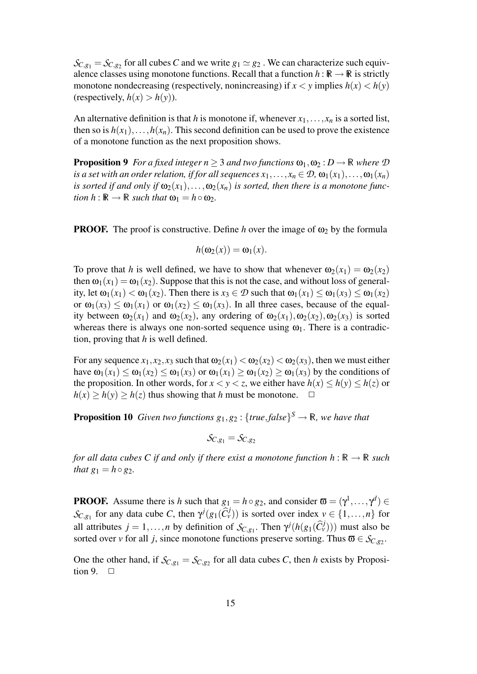$\mathcal{S}_{C,g_1} = \mathcal{S}_{C,g_2}$  for all cubes *C* and we write  $g_1 \simeq g_2$ . We can characterize such equivalence classes using monotone functions. Recall that a function  $h : \mathbb{R} \to \mathbb{R}$  is strictly monotone nondecreasing (respectively, nonincreasing) if  $x < y$  implies  $h(x) < h(y)$ (respectively,  $h(x) > h(y)$ ).

An alternative definition is that *h* is monotone if, whenever  $x_1, \ldots, x_n$  is a sorted list, then so is  $h(x_1), \ldots, h(x_n)$ . This second definition can be used to prove the existence of a monotone function as the next proposition shows.

**Proposition 9** *For a fixed integer n*  $>$  3 *and two functions*  $\omega_1, \omega_2 : D \to \mathbb{R}$  *where*  $\mathcal{D}$ *is a set with an order relation, if for all sequences*  $x_1, \ldots, x_n \in \mathcal{D}$ ,  $\omega_1(x_1), \ldots, \omega_1(x_n)$ *is sorted if and only if*  $\omega_2(x_1), \ldots, \omega_2(x_n)$  *is sorted, then there is a monotone function*  $h : \mathbb{R} \to \mathbb{R}$  *such that*  $\omega_1 = h \circ \omega_2$ *.* 

**PROOF.** The proof is constructive. Define *h* over the image of  $\omega_2$  by the formula

$$
h(\omega_2(x))=\omega_1(x).
$$

To prove that *h* is well defined, we have to show that whenever  $\omega_2(x_1) = \omega_2(x_2)$ then  $\omega_1(x_1) = \omega_1(x_2)$ . Suppose that this is not the case, and without loss of generality, let  $\omega_1(x_1) < \omega_1(x_2)$ . Then there is  $x_3 \in \mathcal{D}$  such that  $\omega_1(x_1) < \omega_1(x_3) < \omega_1(x_2)$ or  $\omega_1(x_3) \leq \omega_1(x_1)$  or  $\omega_1(x_2) \leq \omega_1(x_3)$ . In all three cases, because of the equality between  $\omega_2(x_1)$  and  $\omega_2(x_2)$ , any ordering of  $\omega_2(x_1), \omega_2(x_2), \omega_2(x_3)$  is sorted whereas there is always one non-sorted sequence using  $\omega_1$ . There is a contradiction, proving that *h* is well defined.

For any sequence  $x_1, x_2, x_3$  such that  $\omega_2(x_1) < \omega_2(x_2) < \omega_2(x_3)$ , then we must either have  $\omega_1(x_1) \leq \omega_1(x_2) \leq \omega_1(x_3)$  or  $\omega_1(x_1) \geq \omega_1(x_2) \geq \omega_1(x_3)$  by the conditions of the proposition. In other words, for  $x < y < z$ , we either have  $h(x) < h(y) < h(z)$  or  $h(x) \ge h(y) \ge h(z)$  thus showing that *h* must be monotone.  $\Box$ 

**Proposition 10** Given two functions  $g_1, g_2$  : {true, false}<sup>S</sup>  $\rightarrow \mathbb{R}$ , we have that

$$
\mathcal{S}_{C,g_1} = \mathcal{S}_{C,g_2}
$$

*for all data cubes C if and only if there exist a monotone function*  $h : \mathbb{R} \to \mathbb{R}$  *such that*  $g_1 = h \circ g_2$ *.* 

**PROOF.** Assume there is *h* such that  $g_1 = h \circ g_2$ , and consider  $\mathbf{\overline{w}} = (\gamma^1, \dots, \gamma^d) \in$ *S*<sub>C,*g*1</sub></sub> for any data cube *C*, then  $\gamma^{j}(g_1(\widehat{C}_{\nu}^{j}))$  is sorted over index  $\nu \in \{1, ..., n\}$  for all attributes  $j = 1, ..., n$  by definition of  $S_{C, g_1}$ . Then  $\gamma^j(h(g_1(\widehat{C}_v^j)))$  must also be sorted over *v* for all *j*, since monotone functions preserve sorting. Thus  $\mathbf{\overline{\omega}} \in S_{C, g_2}$ .

One the other hand, if  $S_{C, g_1} = S_{C, g_2}$  for all data cubes *C*, then *h* exists by Proposition 9.  $\Box$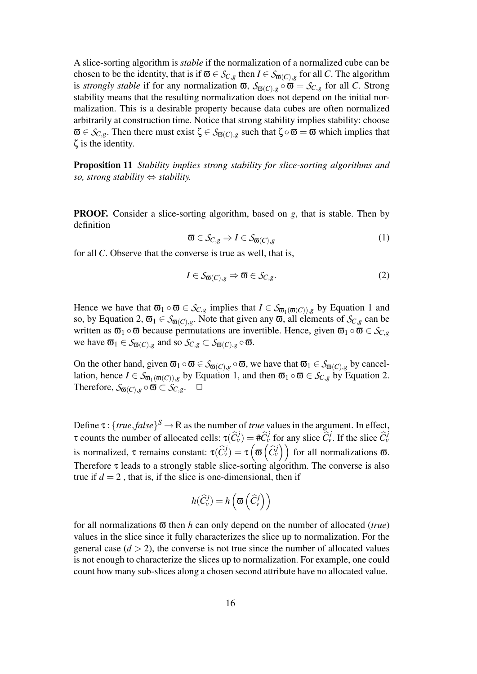A slice-sorting algorithm is *stable* if the normalization of a normalized cube can be chosen to be the identity, that is if  $\overline{\omega} \in S_{C,g}$  then  $I \in S_{\overline{\omega}(C),g}$  for all *C*. The algorithm is *strongly stable* if for any normalization  $\overline{\omega}$ ,  $S_{\overline{\omega}(C),g} \circ \overline{\omega} = S_{C,g}$  for all *C*. Strong stability means that the resulting normalization does not depend on the initial normalization. This is a desirable property because data cubes are often normalized arbitrarily at construction time. Notice that strong stability implies stability: choose  $\overline{\omega} \in S_{C,g}$ . Then there must exist  $\zeta \in S_{\overline{\omega}(C),g}$  such that  $\zeta \circ \overline{\omega} = \overline{\omega}$  which implies that ζ is the identity.

Proposition 11 *Stability implies strong stability for slice-sorting algorithms and so, strong stability* ⇔ *stability.*

PROOF. Consider a slice-sorting algorithm, based on *g*, that is stable. Then by definition

$$
\mathbf{\overline{\omega}} \in \mathcal{S}_{C,g} \Rightarrow I \in \mathcal{S}_{\mathbf{\overline{\omega}}(C),g} \tag{1}
$$

for all *C*. Observe that the converse is true as well, that is,

$$
I \in \mathcal{S}_{\mathfrak{G}(C),g} \Rightarrow \mathfrak{G} \in \mathcal{S}_{C,g}.\tag{2}
$$

Hence we have that  $\overline{\omega}_1 \circ \overline{\omega} \in S_{C,g}$  implies that  $I \in S_{\overline{\omega}_1(\overline{\omega}(C)),g}$  by Equation 1 and so, by Equation 2,  $\overline{\omega}_1 \in S_{\overline{\omega}(C),g}$ . Note that given any  $\overline{\omega}$ , all elements of  $S_{C,g}$  can be written as  $\overline{\omega}_1 \circ \overline{\omega}$  because permutations are invertible. Hence, given  $\overline{\omega}_1 \circ \overline{\omega} \in S_{C,g}$ we have  $\overline{\omega}_1 \in S_{\overline{\omega}(C),g}$  and so  $S_{C,g} \subset S_{\overline{\omega}(C),g} \circ \overline{\omega}$ .

On the other hand, given  $\overline{\omega}_1 \circ \overline{\omega} \in S_{\overline{\omega}(C),g} \circ \overline{\omega}$ , we have that  $\overline{\omega}_1 \in S_{\overline{\omega}(C),g}$  by cancellation, hence  $I \in S_{\mathfrak{G}_1(\mathfrak{G}(C)),g}$  by Equation 1, and then  $\mathfrak{G}_1 \circ \mathfrak{G} \in S_{C,g}$  by Equation 2. Therefore,  $S_{\overline{\omega}(C),g} \circ \overline{\omega} \subset S_{C,g}$ .  $\Box$ 

Define  $\tau$ : {*true*,*false*}<sup>S</sup>  $\rightarrow \mathbb{R}$  as the number of *true* values in the argument. In effect,  $\tau$  counts the number of allocated cells:  $\tau(\hat{C}_{\nu}^{j}) = \#\hat{C}_{\nu}^{j}$  for any slice  $\hat{C}_{\nu}^{j}$ . If the slice  $\hat{C}_{\nu}^{j}$ is normalized,  $\tau$  remains constant:  $\tau(\widehat{C}_{\nu}^{j}) = \tau\left(\sigma\left(\widehat{C}_{\nu}^{j}\right)\right)$  for all normalizations  $\sigma$ . Therefore  $\tau$  leads to a strongly stable slice-sorting algorithm. The converse is also true if  $d = 2$ , that is, if the slice is one-dimensional, then if

$$
h(\widehat{C}_{\nu}^{j})=h\left(\boldsymbol{\varpi}\left(\widehat{C}_{\nu}^{j}\right)\right)
$$

for all normalizations ϖ then *h* can only depend on the number of allocated (*true*) values in the slice since it fully characterizes the slice up to normalization. For the general case  $(d > 2)$ , the converse is not true since the number of allocated values is not enough to characterize the slices up to normalization. For example, one could count how many sub-slices along a chosen second attribute have no allocated value.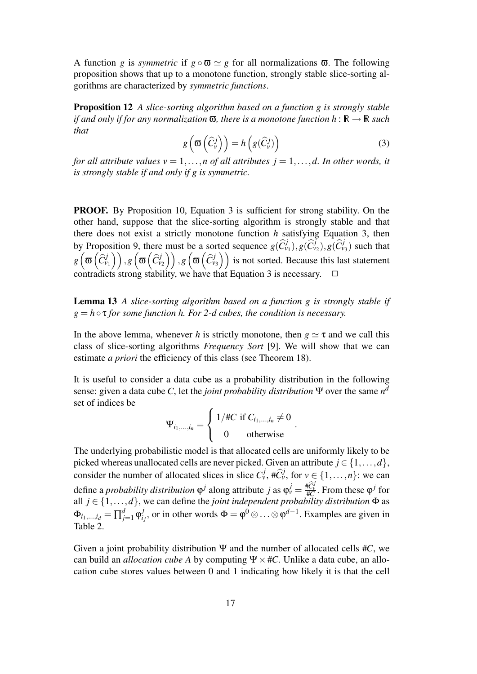A function *g* is *symmetric* if  $g \circ \mathbf{\overline{\omega}} \simeq g$  for all normalizations  $\mathbf{\overline{\omega}}$ . The following proposition shows that up to a monotone function, strongly stable slice-sorting algorithms are characterized by *symmetric functions*.

Proposition 12 *A slice-sorting algorithm based on a function g is strongly stable if and only if for any normalization*  $\overline{\omega}$ *, there is a monotone function*  $h : \mathbb{R} \to \mathbb{R}$  *such that*

$$
g\left(\mathbf{\overline{\omega}}\left(\widehat{C}_{\nu}^{j}\right)\right) = h\left(g(\widehat{C}_{\nu}^{j})\right)
$$
\n(3)

.

*for all attribute values*  $v = 1, \ldots, n$  *of all attributes*  $j = 1, \ldots, d$ *. In other words, it is strongly stable if and only if g is symmetric.*

PROOF. By Proposition 10, Equation 3 is sufficient for strong stability. On the other hand, suppose that the slice-sorting algorithm is strongly stable and that there does not exist a strictly monotone function *h* satisfying Equation 3, then by Proposition 9, there must be a sorted sequence  $g(\widehat{C}^j_{v_1}), g(\widehat{C}^j_{v_2}), g(\widehat{C}^j_{v_3})$  such that  $g\left(\boldsymbol{\varpi}\left(\widehat{C}_{\nu_1}^{j}\right)\right), g\left(\boldsymbol{\varpi}\left(\widehat{C}_{\nu_2}^{j}\right)\right), g\left(\boldsymbol{\varpi}\left(\widehat{C}_{\nu_3}^{j}\right)\right)$  is not sorted. Because this last statement contradicts strong stability, we have that Equation 3 is necessary.  $\Box$ 

Lemma 13 *A slice-sorting algorithm based on a function g is strongly stable if*  $g = h \circ \tau$  *for some function h. For 2-d cubes, the condition is necessary.* 

In the above lemma, whenever *h* is strictly monotone, then  $g \simeq \tau$  and we call this class of slice-sorting algorithms *Frequency Sort* [9]. We will show that we can estimate *a priori* the efficiency of this class (see Theorem 18).

It is useful to consider a data cube as a probability distribution in the following sense: given a data cube *C*, let the *joint probability distribution*  $\Psi$  over the same  $n^d$ set of indices be

$$
\Psi_{i_1,\dots,i_n} = \begin{cases} 1/\#C \text{ if } C_{i_1,\dots,i_n} \neq 0\\ 0 \text{ otherwise} \end{cases}
$$

The underlying probabilistic model is that allocated cells are uniformly likely to be picked whereas unallocated cells are never picked. Given an attribute  $j \in \{1, ..., d\}$ , consider the number of allocated slices in slice  $C_v^j$ ,  $\#\widehat{C}_v^j$ , for  $v \in \{1, ..., n\}$ : we can define a *probability distribution*  $\varphi^j$  along attribute *j* as  $\varphi^j_v = \frac{\#\widehat{C}_y^j}{\#\mathcal{C}}$ . From these  $\varphi^j$  for all  $j \in \{1, ..., d\}$ , we can define the *joint independent probability distribution*  $\Phi$  as  $Φ<sub>i<sub>1</sub>,...,i<sub>d</sub>} = \prod_{j=1}^{d} φ<sub>i</sub><sup>j</sup></sub>$  $i_j$ , or in other words  $\Phi = \phi^0 ⊗ \dots ⊗ \phi^{d-1}$ . Examples are given in Table 2.

Given a joint probability distribution  $\Psi$  and the number of allocated cells  $\#C$ , we can build an *allocation cube A* by computing  $\Psi \times \#C$ . Unlike a data cube, an allocation cube stores values between 0 and 1 indicating how likely it is that the cell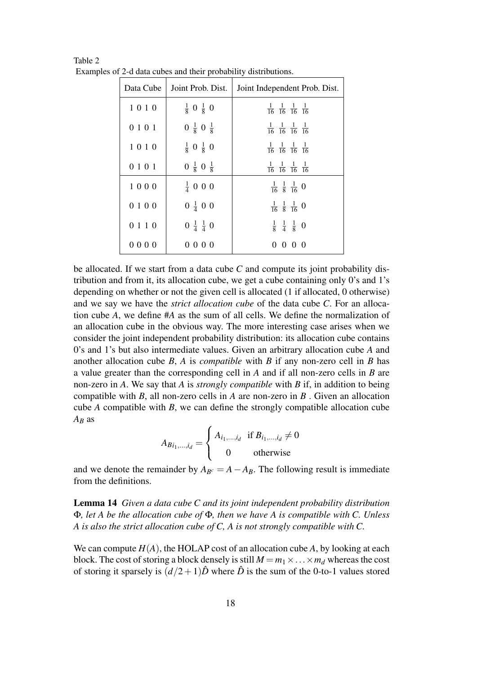| Data Cube | Joint Prob. Dist.               | Joint Independent Prob. Dist.                               |
|-----------|---------------------------------|-------------------------------------------------------------|
| 1010      | $\frac{1}{8}$ 0 $\frac{1}{8}$ 0 | $\frac{1}{16}$ $\frac{1}{16}$ $\frac{1}{16}$ $\frac{1}{16}$ |
| 0 1 0 1   | $0 \frac{1}{8} 0 \frac{1}{8}$   | $\frac{1}{16}$ $\frac{1}{16}$ $\frac{1}{16}$ $\frac{1}{16}$ |
| 1010      | $\frac{1}{8}$ 0 $\frac{1}{8}$ 0 | $\frac{1}{16}$ $\frac{1}{16}$ $\frac{1}{16}$ $\frac{1}{16}$ |
| 0 1 0 1   | $0 \frac{1}{8} 0 \frac{1}{8}$   | $\frac{1}{16}$ $\frac{1}{16}$ $\frac{1}{16}$ $\frac{1}{16}$ |
| 1000      | $\frac{1}{4}$ 0 0 0             | $\frac{1}{16}$ $\frac{1}{8}$ $\frac{1}{16}$ 0               |
| 0100      | $0 \frac{1}{4} 0 0$             | $\frac{1}{16}$ $\frac{1}{8}$ $\frac{1}{16}$ 0               |
| 0 1 1 0   | $0 \frac{1}{4} \frac{1}{4} 0$   | $\frac{1}{8}$ $\frac{1}{4}$ $\frac{1}{8}$ 0                 |
| 0000      | 0000                            | $0 \t0 \t0 \t0$                                             |

Table 2 Examples of 2-d data cubes and their probability distributions.

be allocated. If we start from a data cube *C* and compute its joint probability distribution and from it, its allocation cube, we get a cube containing only 0's and 1's depending on whether or not the given cell is allocated (1 if allocated, 0 otherwise) and we say we have the *strict allocation cube* of the data cube *C*. For an allocation cube *A*, we define #*A* as the sum of all cells. We define the normalization of an allocation cube in the obvious way. The more interesting case arises when we consider the joint independent probability distribution: its allocation cube contains 0's and 1's but also intermediate values. Given an arbitrary allocation cube *A* and another allocation cube *B*, *A* is *compatible* with *B* if any non-zero cell in *B* has a value greater than the corresponding cell in *A* and if all non-zero cells in *B* are non-zero in *A*. We say that *A* is *strongly compatible* with *B* if, in addition to being compatible with *B*, all non-zero cells in *A* are non-zero in *B* . Given an allocation cube *A* compatible with *B*, we can define the strongly compatible allocation cube *A<sup>B</sup>* as

> $A_{Bi_1,...,i_d} =$  $\sqrt{ }$  $\int$  $\mathcal{L}$  $A_{i_1,...,i_d}$  if  $B_{i_1,...,i_d} \neq 0$ 0 otherwise

and we denote the remainder by  $A_{B^c} = A - A_B$ . The following result is immediate from the definitions.

Lemma 14 *Given a data cube C and its joint independent probability distribution* Φ*, let A be the allocation cube of* Φ*, then we have A is compatible with C. Unless A is also the strict allocation cube of C, A is not strongly compatible with C.*

We can compute  $H(A)$ , the HOLAP cost of an allocation cube A, by looking at each block. The cost of storing a block densely is still  $M = m_1 \times \ldots \times m_d$  whereas the cost of storing it sparsely is  $(d/2+1)\hat{D}$  where  $\hat{D}$  is the sum of the 0-to-1 values stored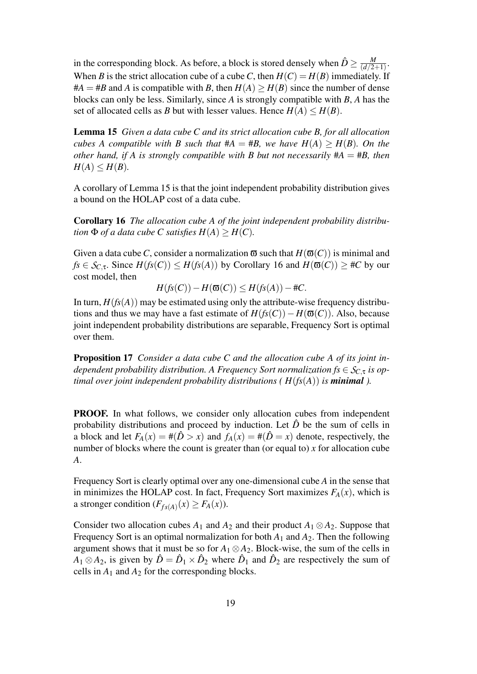in the corresponding block. As before, a block is stored densely when  $\hat{D} \geq \frac{M}{(d/2)^2}$  $\frac{M}{(d/2+1)}$ . When *B* is the strict allocation cube of a cube *C*, then  $H(C) = H(B)$  immediately. If  $#A = #B$  and *A* is compatible with *B*, then  $H(A) \geq H(B)$  since the number of dense blocks can only be less. Similarly, since *A* is strongly compatible with *B*, *A* has the set of allocated cells as *B* but with lesser values. Hence  $H(A) \leq H(B)$ .

Lemma 15 *Given a data cube C and its strict allocation cube B, for all allocation cubes A compatible with B such that*  $#A = #B$ *, we have*  $H(A) \geq H(B)$ *. On the other hand, if A is strongly compatible with B but not necessarily*  $#A = #B$ *, then*  $H(A) \leq H(B)$ .

A corollary of Lemma 15 is that the joint independent probability distribution gives a bound on the HOLAP cost of a data cube.

Corollary 16 *The allocation cube A of the joint independent probability distribution*  $\Phi$  *of a data cube C satisfies*  $H(A) \geq H(C)$ *.* 

Given a data cube *C*, consider a normalization  $\overline{\omega}$  such that  $H(\overline{\omega}(C))$  is minimal and *fs*  $\in$  *S<sub>C</sub>*,  $\in$  *H*(*fs*(*C*))  $\leq$  *H*(*fs*(*A*)) by Corollary 16 and *H*( $\mathfrak{a}(C)$ )  $\geq$  #*C* by our cost model, then

 $H(f_S(C)) - H(\mathbf{Q}(C)) \leq H(f_S(A)) - \#C.$ 

In turn,  $H(f_s(A))$  may be estimated using only the attribute-wise frequency distributions and thus we may have a fast estimate of  $H(fs(C)) - H(\overline{\omega}(C))$ . Also, because joint independent probability distributions are separable, Frequency Sort is optimal over them.

Proposition 17 *Consider a data cube C and the allocation cube A of its joint independent probability distribution. A Frequency Sort normalization*  $fs \in S_{C,\tau}$  *is optimal over joint independent probability distributions (* $H(fs(A))$ *) <i>is minimal*).

**PROOF.** In what follows, we consider only allocation cubes from independent probability distributions and proceed by induction. Let  $\hat{D}$  be the sum of cells in a block and let  $F_A(x) = \#(\hat{D} > x)$  and  $f_A(x) = \#(\hat{D} = x)$  denote, respectively, the number of blocks where the count is greater than (or equal to) *x* for allocation cube *A*.

Frequency Sort is clearly optimal over any one-dimensional cube *A* in the sense that in minimizes the HOLAP cost. In fact, Frequency Sort maximizes  $F_A(x)$ , which is a stronger condition  $(F_{fs(A)}(x) \geq F_A(x))$ .

Consider two allocation cubes  $A_1$  and  $A_2$  and their product  $A_1 \otimes A_2$ . Suppose that Frequency Sort is an optimal normalization for both  $A_1$  and  $A_2$ . Then the following argument shows that it must be so for  $A_1 \otimes A_2$ . Block-wise, the sum of the cells in  $A_1 \otimes A_2$ , is given by  $\hat{D} = \hat{D}_1 \times \hat{D}_2$  where  $\hat{D}_1$  and  $\hat{D}_2$  are respectively the sum of cells in  $A_1$  and  $A_2$  for the corresponding blocks.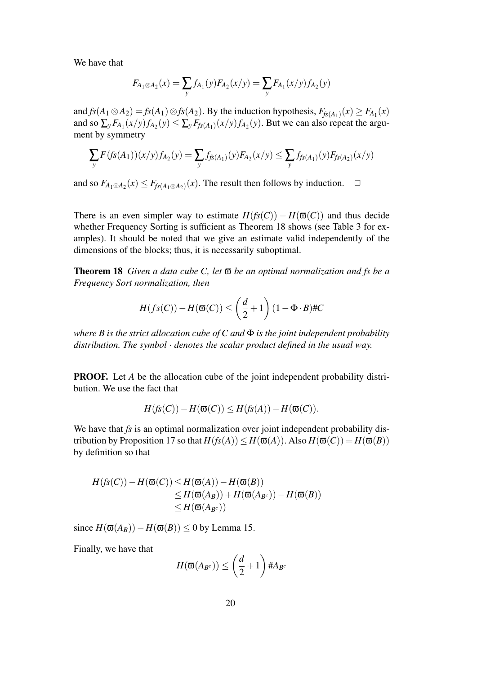We have that

$$
F_{A_1 \otimes A_2}(x) = \sum_{y} f_{A_1}(y) F_{A_2}(x/y) = \sum_{y} F_{A_1}(x/y) f_{A_2}(y)
$$

and  $f_S(A_1 \otimes A_2) = f_S(A_1) \otimes f_S(A_2)$ . By the induction hypothesis,  $F_{f_S(A_1)}(x) \ge F_{A_1}(x)$ and so  $\sum_{y} F_{A_1}(x/y) f_{A_2}(y) \le \sum_{y} F_{f_s(A_1)}(x/y) f_{A_2}(y)$ . But we can also repeat the argument by symmetry

$$
\sum_{y} F(fS(A_1))(x/y) f_{A_2}(y) = \sum_{y} f_{fS(A_1)}(y) F_{A_2}(x/y) \le \sum_{y} f_{fS(A_1)}(y) F_{fS(A_2)}(x/y)
$$

and so  $F_{A_1 \otimes A_2}(x)$  ≤  $F_{f_s(A_1 \otimes A_2)}(x)$ . The result then follows by induction.  $\Box$ 

There is an even simpler way to estimate  $H(f_S(C)) - H(\mathbf{\overline{\omega}}(C))$  and thus decide whether Frequency Sorting is sufficient as Theorem 18 shows (see Table 3 for examples). It should be noted that we give an estimate valid independently of the dimensions of the blocks; thus, it is necessarily suboptimal.

Theorem 18 *Given a data cube C, let* ϖ *be an optimal normalization and fs be a Frequency Sort normalization, then*

$$
H(fs(C)) - H(\mathfrak{G}(C)) \le \left(\frac{d}{2} + 1\right)(1 - \Phi \cdot B) \# C
$$

*where B is the strict allocation cube of C and* Φ *is the joint independent probability distribution. The symbol* · *denotes the scalar product defined in the usual way.*

**PROOF.** Let *A* be the allocation cube of the joint independent probability distribution. We use the fact that

$$
H(fs(C)) - H(\overline{\omega}(C)) \leq H(fs(A)) - H(\overline{\omega}(C)).
$$

We have that *fs* is an optimal normalization over joint independent probability distribution by Proposition 17 so that  $H(f_S(A)) \leq H(\overline{\omega}(A))$ . Also  $H(\overline{\omega}(C)) = H(\overline{\omega}(B))$ by definition so that

$$
H(fS(C)) - H(\varpi(C)) \le H(\varpi(A)) - H(\varpi(B))
$$
  
\n
$$
\le H(\varpi(A_B)) + H(\varpi(A_{B^c})) - H(\varpi(B))
$$
  
\n
$$
\le H(\varpi(A_{B^c}))
$$

since  $H(\mathbf{\overline{\omega}}(A_B)) - H(\mathbf{\overline{\omega}}(B)) \le 0$  by Lemma 15.

Finally, we have that

$$
H(\mathbf{\mathfrak{A}}(A_{B^c})) \leq \left(\frac{d}{2} + 1\right) \#A_{B^c}
$$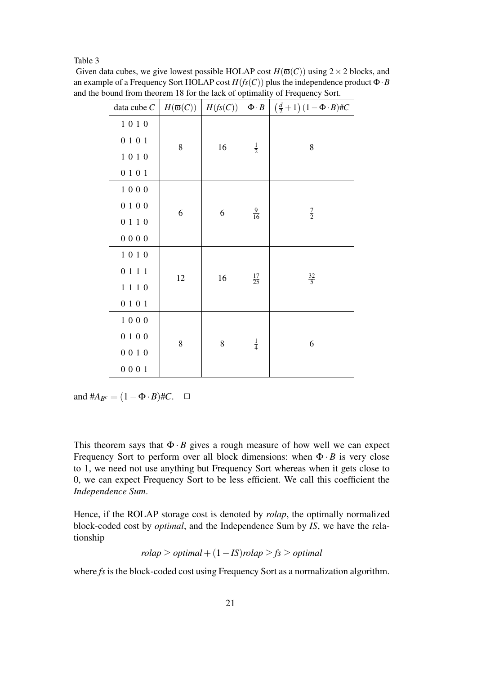#### Table 3

| Given data cubes, we give lowest possible HOLAP cost $H(\overline{\omega}(C))$ using $2 \times 2$ blocks, and |
|---------------------------------------------------------------------------------------------------------------|
| an example of a Frequency Sort HOLAP cost $H(fS(C))$ plus the independence product $\Phi \cdot B$             |
| and the bound from theorem 18 for the lack of optimality of Frequency Sort.                                   |

| data cube $C$ |    | $H(\mathfrak{a}(C)) \mid H(fs(C)) \mid$ | $\Phi \cdot B$  | $\left(\frac{d}{2}+1\right)(1-\Phi \cdot B)\#C$ |  |
|---------------|----|-----------------------------------------|-----------------|-------------------------------------------------|--|
| 1010          |    | 16                                      | $\frac{1}{2}$   |                                                 |  |
| 0101          | 8  |                                         |                 | $8\,$                                           |  |
| $1\ 0\ 1\ 0$  |    |                                         |                 |                                                 |  |
| 0101          |    |                                         |                 |                                                 |  |
| $1\ 0\ 0\ 0$  | 6  | 6                                       | $\frac{9}{16}$  | $rac{7}{2}$                                     |  |
| 0100          |    |                                         |                 |                                                 |  |
| 0 1 1 0       |    |                                         |                 |                                                 |  |
| 0000          |    |                                         |                 |                                                 |  |
| $1\ 0\ 1\ 0$  | 12 | 16                                      | $\frac{17}{25}$ | $\frac{32}{5}$                                  |  |
| 0111          |    |                                         |                 |                                                 |  |
| 1110          |    |                                         |                 |                                                 |  |
| 0101          |    |                                         |                 |                                                 |  |
| 1000          | 8  | 8                                       | $\frac{1}{4}$   | 6                                               |  |
| 0100          |    |                                         |                 |                                                 |  |
| 0010          |    |                                         |                 |                                                 |  |
| 0001          |    |                                         |                 |                                                 |  |

and  $#A_{B^c} = (1 - \Phi \cdot B) \#C$ .  $\Box$ 

This theorem says that  $\Phi \cdot B$  gives a rough measure of how well we can expect Frequency Sort to perform over all block dimensions: when  $\Phi \cdot B$  is very close to 1, we need not use anything but Frequency Sort whereas when it gets close to 0, we can expect Frequency Sort to be less efficient. We call this coefficient the *Independence Sum*.

Hence, if the ROLAP storage cost is denoted by *rolap*, the optimally normalized block-coded cost by *optimal*, and the Independence Sum by *IS*, we have the relationship

$$
rolap \geq optimal + (1 - IS)rolap \geq fs \geq optimal
$$

where *fs* is the block-coded cost using Frequency Sort as a normalization algorithm.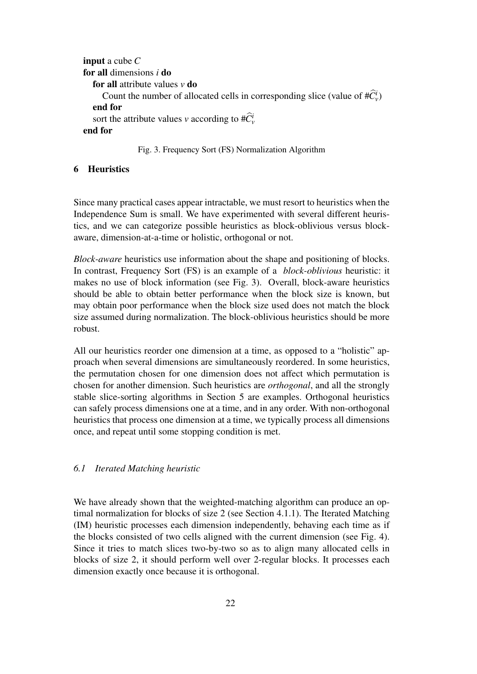```
input a cube C
for all dimensions i do
  for all attribute values v do
     Count the number of allocated cells in corresponding slice (value of #C_v^i)
  end for
   sort the attribute values v according to \# \widehat{C}_v^iend for
```
## Fig. 3. Frequency Sort (FS) Normalization Algorithm

# 6 Heuristics

Since many practical cases appear intractable, we must resort to heuristics when the Independence Sum is small. We have experimented with several different heuristics, and we can categorize possible heuristics as block-oblivious versus blockaware, dimension-at-a-time or holistic, orthogonal or not.

*Block-aware* heuristics use information about the shape and positioning of blocks. In contrast, Frequency Sort (FS) is an example of a *block-oblivious* heuristic: it makes no use of block information (see Fig. 3). Overall, block-aware heuristics should be able to obtain better performance when the block size is known, but may obtain poor performance when the block size used does not match the block size assumed during normalization. The block-oblivious heuristics should be more robust.

All our heuristics reorder one dimension at a time, as opposed to a "holistic" approach when several dimensions are simultaneously reordered. In some heuristics, the permutation chosen for one dimension does not affect which permutation is chosen for another dimension. Such heuristics are *orthogonal*, and all the strongly stable slice-sorting algorithms in Section 5 are examples. Orthogonal heuristics can safely process dimensions one at a time, and in any order. With non-orthogonal heuristics that process one dimension at a time, we typically process all dimensions once, and repeat until some stopping condition is met.

# *6.1 Iterated Matching heuristic*

We have already shown that the weighted-matching algorithm can produce an optimal normalization for blocks of size 2 (see Section 4.1.1). The Iterated Matching (IM) heuristic processes each dimension independently, behaving each time as if the blocks consisted of two cells aligned with the current dimension (see Fig. 4). Since it tries to match slices two-by-two so as to align many allocated cells in blocks of size 2, it should perform well over 2-regular blocks. It processes each dimension exactly once because it is orthogonal.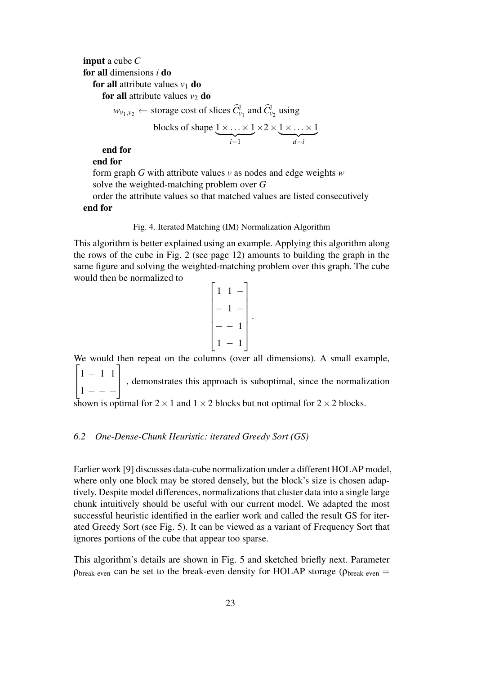input a cube *C* for all dimensions *i* do **for all** attribute values  $v_1$  **do** for all attribute values  $v_2$  do

 $w_{\nu_1,\nu_2} \leftarrow$  storage cost of slices  $\hat{C}^i_{\nu_1}$  and  $\hat{C}^i_{\nu_2}$  using

blocks of shape 
$$
\underbrace{1 \times \ldots \times 1}_{i-1} \times 2 \times \underbrace{1 \times \ldots \times 1}_{d-i}
$$

end for end for

form graph *G* with attribute values *v* as nodes and edge weights *w* solve the weighted-matching problem over *G*

order the attribute values so that matched values are listed consecutively end for

Fig. 4. Iterated Matching (IM) Normalization Algorithm

This algorithm is better explained using an example. Applying this algorithm along the rows of the cube in Fig. 2 (see page 12) amounts to building the graph in the same figure and solving the weighted-matching problem over this graph. The cube would then be normalized to

$$
\begin{bmatrix} 1 & 1 & - \\ - & 1 & - \\ - & - & 1 \\ 1 & - & 1 \end{bmatrix}.
$$

We would then repeat on the columns (over all dimensions). A small example,  $\sqrt{ }$  $\overline{1}$ 1 − 1 1  $1 - - -$ 1 , demonstrates this approach is suboptimal, since the normalization shown is optimal for  $2 \times 1$  and  $1 \times 2$  blocks but not optimal for  $2 \times 2$  blocks.

# *6.2 One-Dense-Chunk Heuristic: iterated Greedy Sort (GS)*

Earlier work [9] discusses data-cube normalization under a different HOLAP model, where only one block may be stored densely, but the block's size is chosen adaptively. Despite model differences, normalizations that cluster data into a single large chunk intuitively should be useful with our current model. We adapted the most successful heuristic identified in the earlier work and called the result GS for iterated Greedy Sort (see Fig. 5). It can be viewed as a variant of Frequency Sort that ignores portions of the cube that appear too sparse.

This algorithm's details are shown in Fig. 5 and sketched briefly next. Parameter  $\rho_{break-even}$  can be set to the break-even density for HOLAP storage ( $\rho_{break-even}$  =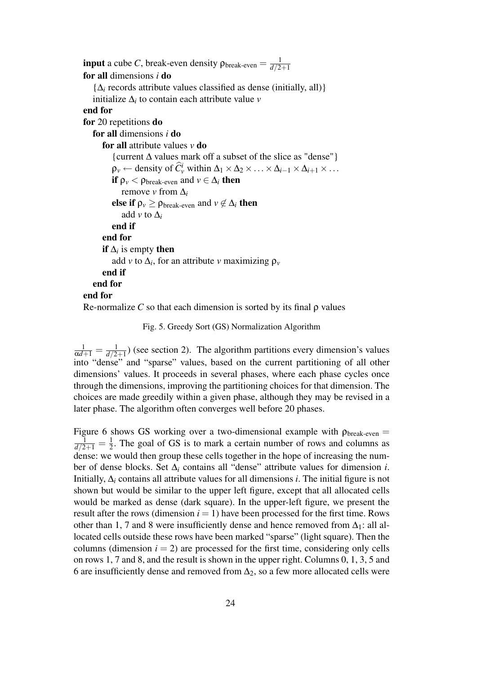```
input a cube C, break-even density \rho_{\text{break-even}} = \frac{1}{d/2}d/2+1
for all dimensions i do
   \{\Delta_i records attribute values classified as dense (initially, all)}
   initialize \Delta_i to contain each attribute value v
end for
for 20 repetitions do
   for all dimensions i do
      for all attribute values v do
          {current ∆ values mark off a subset of the slice as "dense"}
          \rho_v \leftarrow density of \widehat{C_v^i} within \Delta_1 \times \Delta_2 \times \ldots \times \Delta_{i-1} \times \Delta_{i+1} \times \ldotsif \rho_v < \rho_{break-even} and v \in \Delta_i then
             remove v from \Delta_ielse if \rho_v \ge \rho_{\text{break-even}} and v \notin \Delta_i then
             add v to \Delta_iend if
      end for
       if \Deltai is empty then
          add v to \Delta_i, for an attribute v maximizing \rho_vend if
   end for
end for
Re-normalize C so that each dimension is sorted by its final \rho values
```
Fig. 5. Greedy Sort (GS) Normalization Algorithm

 $\frac{1}{\alpha d+1}=\frac{1}{d/2}$  $\frac{1}{d/2+1}$ ) (see section 2). The algorithm partitions every dimension's values into "dense" and "sparse" values, based on the current partitioning of all other dimensions' values. It proceeds in several phases, where each phase cycles once through the dimensions, improving the partitioning choices for that dimension. The choices are made greedily within a given phase, although they may be revised in a later phase. The algorithm often converges well before 20 phases.

Figure 6 shows GS working over a two-dimensional example with  $\rho_{break-even} =$  $\frac{1}{d/2+1} = \frac{1}{2}$  $\frac{1}{2}$ . The goal of GS is to mark a certain number of rows and columns as dense: we would then group these cells together in the hope of increasing the number of dense blocks. Set ∆*<sup>i</sup>* contains all "dense" attribute values for dimension *i*. Initially,  $\Delta_i$  contains all attribute values for all dimensions *i*. The initial figure is not shown but would be similar to the upper left figure, except that all allocated cells would be marked as dense (dark square). In the upper-left figure, we present the result after the rows (dimension  $i = 1$ ) have been processed for the first time. Rows other than 1, 7 and 8 were insufficiently dense and hence removed from  $\Delta_1$ : all allocated cells outside these rows have been marked "sparse" (light square). Then the columns (dimension  $i = 2$ ) are processed for the first time, considering only cells on rows 1, 7 and 8, and the result is shown in the upper right. Columns 0, 1, 3, 5 and 6 are insufficiently dense and removed from  $\Delta_2$ , so a few more allocated cells were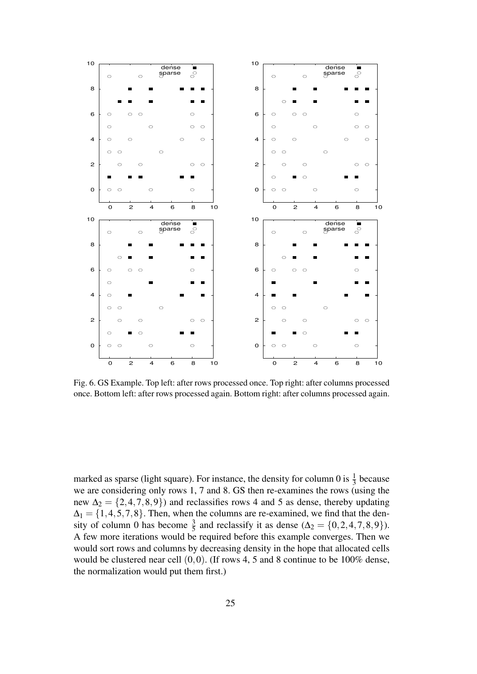

Fig. 6. GS Example. Top left: after rows processed once. Top right: after columns processed once. Bottom left: after rows processed again. Bottom right: after columns processed again.

marked as sparse (light square). For instance, the density for column 0 is  $\frac{1}{3}$  because we are considering only rows 1, 7 and 8. GS then re-examines the rows (using the new  $\Delta_2 = \{2, 4, 7, 8, 9\}$  and reclassifies rows 4 and 5 as dense, thereby updating  $\Delta_1 = \{1, 4, 5, 7, 8\}$ . Then, when the columns are re-examined, we find that the density of column 0 has become  $\frac{3}{5}$  and reclassify it as dense ( $\Delta_2 = \{0, 2, 4, 7, 8, 9\}$ ). A few more iterations would be required before this example converges. Then we would sort rows and columns by decreasing density in the hope that allocated cells would be clustered near cell (0,0). (If rows 4, 5 and 8 continue to be 100% dense, the normalization would put them first.)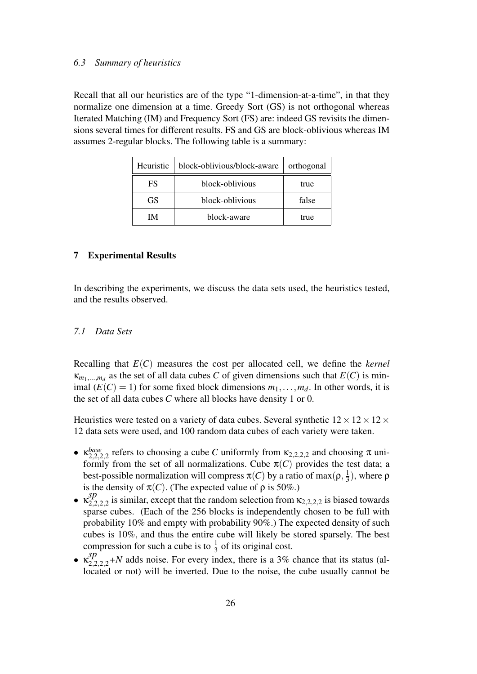#### *6.3 Summary of heuristics*

Recall that all our heuristics are of the type "1-dimension-at-a-time", in that they normalize one dimension at a time. Greedy Sort (GS) is not orthogonal whereas Iterated Matching (IM) and Frequency Sort (FS) are: indeed GS revisits the dimensions several times for different results. FS and GS are block-oblivious whereas IM assumes 2-regular blocks. The following table is a summary:

| Heuristic | block-oblivious/block-aware | orthogonal |  |
|-----------|-----------------------------|------------|--|
| FS        | block-oblivious             | true       |  |
| GS.       | block-oblivious             | false      |  |
| IM.       | block-aware                 | true       |  |

## 7 Experimental Results

In describing the experiments, we discuss the data sets used, the heuristics tested, and the results observed.

# *7.1 Data Sets*

Recalling that *E*(*C*) measures the cost per allocated cell, we define the *kernel*  $\kappa_{m_1,...,m_d}$  as the set of all data cubes *C* of given dimensions such that  $E(C)$  is minimal  $(E(C) = 1)$  for some fixed block dimensions  $m_1, \ldots, m_d$ . In other words, it is the set of all data cubes *C* where all blocks have density 1 or 0.

Heuristics were tested on a variety of data cubes. Several synthetic  $12 \times 12 \times 12 \times$ 12 data sets were used, and 100 random data cubes of each variety were taken.

- $\kappa_{2,2,2,2}^{base}$  refers to choosing a cube *C* uniformly from  $\kappa_{2,2,2,2}$  and choosing  $\pi$  uniformly from the set of all normalizations. Cube  $\pi(C)$  provides the test data; a best-possible normalization will compress  $\pi(C)$  by a ratio of max $(\rho, \frac{1}{3})$  $(\frac{1}{3})$ , where  $\rho$ is the density of  $\pi(C)$ . (The expected value of  $\rho$  is 50%.)
- $\cdot \ \kappa_{2,2}^{sp}$  $222222$  is similar, except that the random selection from  $\kappa_{2,2,2,2}$  is biased towards sparse cubes. (Each of the 256 blocks is independently chosen to be full with probability 10% and empty with probability 90%.) The expected density of such cubes is 10%, and thus the entire cube will likely be stored sparsely. The best compression for such a cube is to  $\frac{1}{3}$  of its original cost.
- $\kappa_{2,2,2,2}^{sp}$  +N adds noise. For every index, there is a 3% chance that its status (allocated or not) will be inverted. Due to the noise, the cube usually cannot be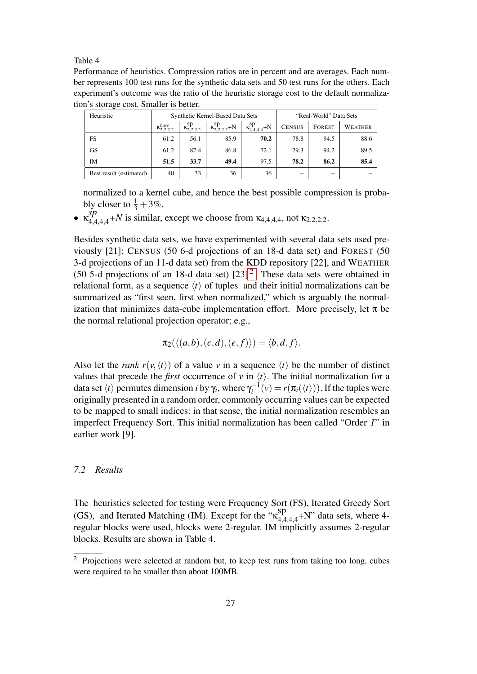Table 4

Performance of heuristics. Compression ratios are in percent and are averages. Each number represents 100 test runs for the synthetic data sets and 50 test runs for the others. Each experiment's outcome was the ratio of the heuristic storage cost to the default normalization's storage cost. Smaller is better.

| Heuristic               | Synthetic Kernel-Based Data Sets |                         |                           |                            | "Real-World" Data Sets |        |         |
|-------------------------|----------------------------------|-------------------------|---------------------------|----------------------------|------------------------|--------|---------|
|                         | $\kappa_{2.2.2.2}^{base}$        | $\kappa_{2.2.2.2}^{sp}$ | $\kappa_{2,2,2}^{sp} + N$ | $\kappa_{4,4,4,4}^{sp}$ +N | <b>CENSUS</b>          | FOREST | WEATHER |
| FS                      | 61.2                             | 56.1                    | 85.9                      | 70.2                       | 78.8                   | 94.5   | 88.6    |
| GS                      | 61.2                             | 87.4                    | 86.8                      | 72.1                       | 79.3                   | 94.2   | 89.5    |
| IM                      | 51.5                             | 33.7                    | 49.4                      | 97.5                       | 78.2                   | 86.2   | 85.4    |
| Best result (estimated) | 40                               | 33                      | 36                        | 36                         | —                      | -      |         |

normalized to a kernel cube, and hence the best possible compression is probably closer to  $\frac{1}{3} + 3\%$ .

•  $\kappa_{4,4,4,4}^{sp}$  +N is similar, except we choose from  $\kappa_{4,4,4,4}$ , not  $\kappa_{2,2,2,2}$ .

Besides synthetic data sets, we have experimented with several data sets used previously [21]: CENSUS (50 6-d projections of an 18-d data set) and FOREST (50 3-d projections of an 11-d data set) from the KDD repository [22], and WEATHER (50 5-d projections of an 18-d data set)  $[23]$ <sup>2</sup>. These data sets were obtained in relational form, as a sequence  $\langle t \rangle$  of tuples and their initial normalizations can be summarized as "first seen, first when normalized," which is arguably the normalization that minimizes data-cube implementation effort. More precisely, let  $\pi$  be the normal relational projection operator; e.g.,

$$
\pi_2(\langle (a,b), (c,d), (e,f) \rangle) = \langle b,d,f \rangle.
$$

Also let the *rank*  $r(v, \langle t \rangle)$  of a value *v* in a sequence  $\langle t \rangle$  be the number of distinct values that precede the *first* occurrence of *v* in  $\langle t \rangle$ . The initial normalization for a data set  $\langle t \rangle$  permutes dimension *i* by  $\gamma_i$ , where  $\gamma_i^{-1}$  $\eta_i^{-1}(v) = r(\pi_i(\langle t \rangle))$ . If the tuples were originally presented in a random order, commonly occurring values can be expected to be mapped to small indices: in that sense, the initial normalization resembles an imperfect Frequency Sort. This initial normalization has been called "Order *I*" in earlier work [9].

# *7.2 Results*

The heuristics selected for testing were Frequency Sort (FS), Iterated Greedy Sort (GS), and Iterated Matching (IM). Except for the " $\kappa_{4,4}^{sp}$  $^{19P}_{4,4,4,4}$ +N" data sets, where 4regular blocks were used, blocks were 2-regular. IM implicitly assumes 2-regular blocks. Results are shown in Table 4.

<sup>&</sup>lt;sup>2</sup> Projections were selected at random but, to keep test runs from taking too long, cubes were required to be smaller than about 100MB.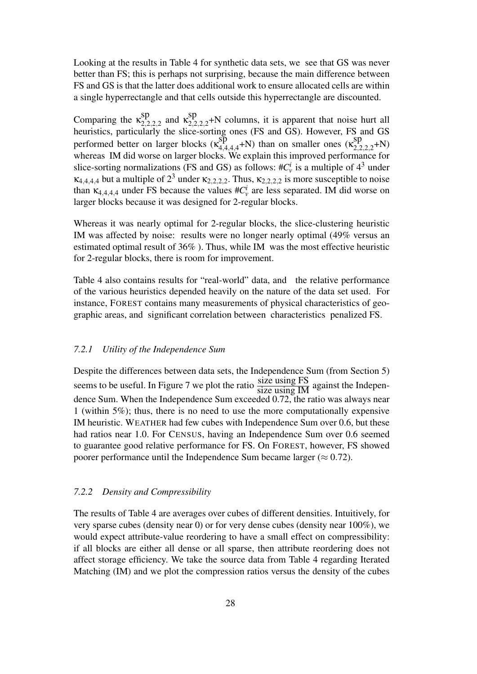Looking at the results in Table 4 for synthetic data sets, we see that GS was never better than FS; this is perhaps not surprising, because the main difference between FS and GS is that the latter does additional work to ensure allocated cells are within a single hyperrectangle and that cells outside this hyperrectangle are discounted.

Comparing the  $\kappa_{2,2}^{sp}$ sp<sub>2,2,2,2</sub> and  $\kappa_{2,2}^{\text{sp}}$  $22222+$ N columns, it is apparent that noise hurt all heuristics, particularly the slice-sorting ones (FS and GS). However, FS and GS performed better on larger blocks  $(\kappa_{4,4}^{sp})$  $\sup_{4,4,4,4}^{sp}$  +N) than on smaller ones  $\left(\kappa_{2,2}^{sp}\right)$  $2,2,2,2+N$ whereas IM did worse on larger blocks. We explain this improved performance for slice-sorting normalizations (FS and GS) as follows:  $\#C_v^i$  is a multiple of  $4^3$  under  $\kappa_{4,4,4,4}$  but a multiple of  $2^3$  under  $\kappa_{2,2,2,2}$ . Thus,  $\kappa_{2,2,2,2}$  is more susceptible to noise than  $\kappa_{4,4,4,4}$  under FS because the values  $\#C_v^i$  are less separated. IM did worse on larger blocks because it was designed for 2-regular blocks.

Whereas it was nearly optimal for 2-regular blocks, the slice-clustering heuristic IM was affected by noise: results were no longer nearly optimal (49% versus an estimated optimal result of 36% ). Thus, while IM was the most effective heuristic for 2-regular blocks, there is room for improvement.

Table 4 also contains results for "real-world" data, and the relative performance of the various heuristics depended heavily on the nature of the data set used. For instance, FOREST contains many measurements of physical characteristics of geographic areas, and significant correlation between characteristics penalized FS.

# *7.2.1 Utility of the Independence Sum*

Despite the differences between data sets, the Independence Sum (from Section 5) seems to be useful. In Figure 7 we plot the ratio  $\frac{\text{size using FS}}{\text{size using IM}}$  against the Independence Sum. When the Independence Sum exceeded 0.72, the ratio was always near 1 (within 5%); thus, there is no need to use the more computationally expensive IM heuristic. WEATHER had few cubes with Independence Sum over 0.6, but these had ratios near 1.0. For CENSUS, having an Independence Sum over 0.6 seemed to guarantee good relative performance for FS. On FOREST, however, FS showed poorer performance until the Independence Sum became larger ( $\approx 0.72$ ).

## *7.2.2 Density and Compressibility*

The results of Table 4 are averages over cubes of different densities. Intuitively, for very sparse cubes (density near 0) or for very dense cubes (density near 100%), we would expect attribute-value reordering to have a small effect on compressibility: if all blocks are either all dense or all sparse, then attribute reordering does not affect storage efficiency. We take the source data from Table 4 regarding Iterated Matching (IM) and we plot the compression ratios versus the density of the cubes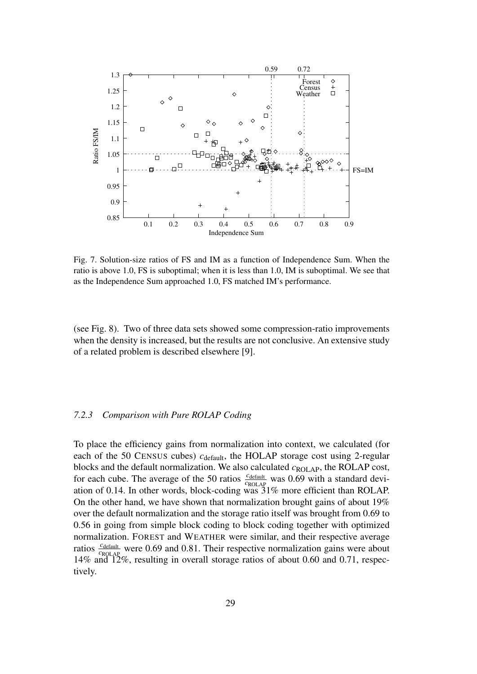

Fig. 7. Solution-size ratios of FS and IM as a function of Independence Sum. When the ratio is above 1.0, FS is suboptimal; when it is less than 1.0, IM is suboptimal. We see that as the Independence Sum approached 1.0, FS matched IM's performance.

(see Fig. 8). Two of three data sets showed some compression-ratio improvements when the density is increased, but the results are not conclusive. An extensive study of a related problem is described elsewhere [9].

# *7.2.3 Comparison with Pure ROLAP Coding*

To place the efficiency gains from normalization into context, we calculated (for each of the 50 CENSUS cubes) *c*<sub>default</sub>, the HOLAP storage cost using 2-regular blocks and the default normalization. We also calculated *c*ROLAP, the ROLAP cost, for each cube. The average of the 50 ratios  $\frac{c_{\text{default}}}{c_{\text{ROLAP}}}$  was 0.69 with a standard deviation of 0.14. In other words, block-coding was 31% more efficient than ROLAP. On the other hand, we have shown that normalization brought gains of about 19% over the default normalization and the storage ratio itself was brought from 0.69 to 0.56 in going from simple block coding to block coding together with optimized normalization. FOREST and WEATHER were similar, and their respective average ratios  $\frac{c_{\text{default}}}{c_{\text{ROLAP}}}$  were 0.69 and 0.81. Their respective normalization gains were about 14% and 12%, resulting in overall storage ratios of about 0.60 and 0.71, respectively.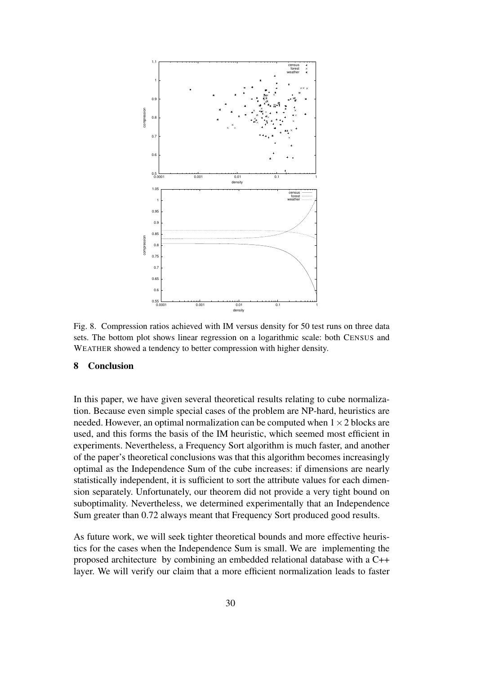

Fig. 8. Compression ratios achieved with IM versus density for 50 test runs on three data sets. The bottom plot shows linear regression on a logarithmic scale: both CENSUS and WEATHER showed a tendency to better compression with higher density.

# 8 Conclusion

In this paper, we have given several theoretical results relating to cube normalization. Because even simple special cases of the problem are NP-hard, heuristics are needed. However, an optimal normalization can be computed when  $1 \times 2$  blocks are used, and this forms the basis of the IM heuristic, which seemed most efficient in experiments. Nevertheless, a Frequency Sort algorithm is much faster, and another of the paper's theoretical conclusions was that this algorithm becomes increasingly optimal as the Independence Sum of the cube increases: if dimensions are nearly statistically independent, it is sufficient to sort the attribute values for each dimension separately. Unfortunately, our theorem did not provide a very tight bound on suboptimality. Nevertheless, we determined experimentally that an Independence Sum greater than 0.72 always meant that Frequency Sort produced good results.

As future work, we will seek tighter theoretical bounds and more effective heuristics for the cases when the Independence Sum is small. We are implementing the proposed architecture by combining an embedded relational database with a C++ layer. We will verify our claim that a more efficient normalization leads to faster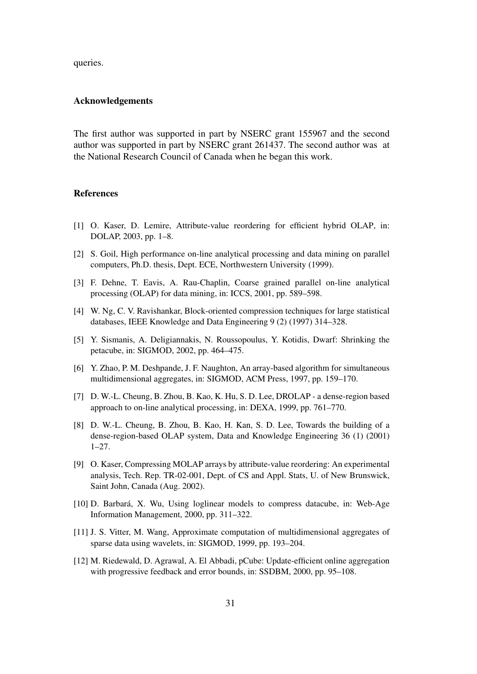queries.

#### Acknowledgements

The first author was supported in part by NSERC grant 155967 and the second author was supported in part by NSERC grant 261437. The second author was at the National Research Council of Canada when he began this work.

#### **References**

- [1] O. Kaser, D. Lemire, Attribute-value reordering for efficient hybrid OLAP, in: DOLAP, 2003, pp. 1–8.
- [2] S. Goil, High performance on-line analytical processing and data mining on parallel computers, Ph.D. thesis, Dept. ECE, Northwestern University (1999).
- [3] F. Dehne, T. Eavis, A. Rau-Chaplin, Coarse grained parallel on-line analytical processing (OLAP) for data mining, in: ICCS, 2001, pp. 589–598.
- [4] W. Ng, C. V. Ravishankar, Block-oriented compression techniques for large statistical databases, IEEE Knowledge and Data Engineering 9 (2) (1997) 314–328.
- [5] Y. Sismanis, A. Deligiannakis, N. Roussopoulus, Y. Kotidis, Dwarf: Shrinking the petacube, in: SIGMOD, 2002, pp. 464–475.
- [6] Y. Zhao, P. M. Deshpande, J. F. Naughton, An array-based algorithm for simultaneous multidimensional aggregates, in: SIGMOD, ACM Press, 1997, pp. 159–170.
- [7] D. W.-L. Cheung, B. Zhou, B. Kao, K. Hu, S. D. Lee, DROLAP a dense-region based approach to on-line analytical processing, in: DEXA, 1999, pp. 761–770.
- [8] D. W.-L. Cheung, B. Zhou, B. Kao, H. Kan, S. D. Lee, Towards the building of a dense-region-based OLAP system, Data and Knowledge Engineering 36 (1) (2001) 1–27.
- [9] O. Kaser, Compressing MOLAP arrays by attribute-value reordering: An experimental analysis, Tech. Rep. TR-02-001, Dept. of CS and Appl. Stats, U. of New Brunswick, Saint John, Canada (Aug. 2002).
- [10] D. Barbará, X. Wu, Using loglinear models to compress datacube, in: Web-Age Information Management, 2000, pp. 311–322.
- [11] J. S. Vitter, M. Wang, Approximate computation of multidimensional aggregates of sparse data using wavelets, in: SIGMOD, 1999, pp. 193–204.
- [12] M. Riedewald, D. Agrawal, A. El Abbadi, pCube: Update-efficient online aggregation with progressive feedback and error bounds, in: SSDBM, 2000, pp. 95–108.